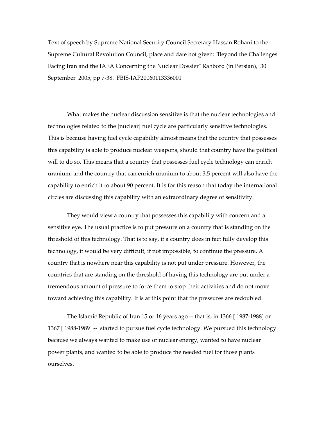Text of speech by Supreme National Security Council Secretary Hassan Rohani to the Supreme Cultural Revolution Council; place and date not given: "Beyond the Challenges Facing Iran and the IAEA Concerning the Nuclear Dossier" Rahbord (in Persian), 30 September 2005, pp 7‐38. FBIS‐IAP20060113336001

What makes the nuclear discussion sensitive is that the nuclear technologies and technologies related to the [nuclear] fuel cycle are particularly sensitive technologies. This is because having fuel cycle capability almost means that the country that possesses this capability is able to produce nuclear weapons, should that country have the political will to do so. This means that a country that possesses fuel cycle technology can enrich uranium, and the country that can enrich uranium to about 3.5 percent will also have the capability to enrich it to about 90 percent. It is for this reason that today the international circles are discussing this capability with an extraordinary degree of sensitivity.

They would view a country that possesses this capability with concern and a sensitive eye. The usual practice is to put pressure on a country that is standing on the threshold of this technology. That is to say, if a country does in fact fully develop this technology, it would be very difficult, if not impossible, to continue the pressure. A country that is nowhere near this capability is not put under pressure. However, the countries that are standing on the threshold of having this technology are put under a tremendous amount of pressure to force them to stop their activities and do not move toward achieving this capability. It is at this point that the pressures are redoubled.

The Islamic Republic of Iran 15 or 16 years ago ‐‐ that is, in 1366 [ 1987‐1988] or 1367 [ 1988‐1989] ‐‐ started to pursue fuel cycle technology. We pursued this technology because we always wanted to make use of nuclear energy, wanted to have nuclear power plants, and wanted to be able to produce the needed fuel for those plants ourselves.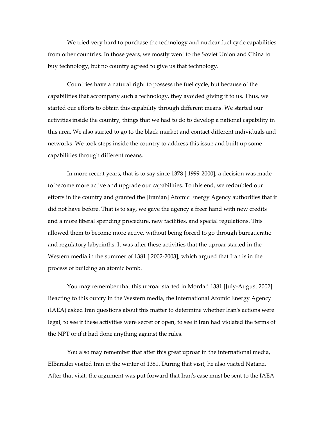We tried very hard to purchase the technology and nuclear fuel cycle capabilities from other countries. In those years, we mostly went to the Soviet Union and China to buy technology, but no country agreed to give us that technology.

Countries have a natural right to possess the fuel cycle, but because of the capabilities that accompany such a technology, they avoided giving it to us. Thus, we started our efforts to obtain this capability through different means. We started our activities inside the country, things that we had to do to develop a national capability in this area. We also started to go to the black market and contact different individuals and networks. We took steps inside the country to address this issue and built up some capabilities through different means.

In more recent years, that is to say since 1378 [ 1999-2000], a decision was made to become more active and upgrade our capabilities. To this end, we redoubled our efforts in the country and granted the [Iranian] Atomic Energy Agency authorities that it did not have before. That is to say, we gave the agency a freer hand with new credits and a more liberal spending procedure, new facilities, and special regulations. This allowed them to become more active, without being forced to go through bureaucratic and regulatory labyrinths. It was after these activities that the uproar started in the Western media in the summer of 1381 [ 2002‐2003], which argued that Iran is in the process of building an atomic bomb.

You may remember that this uproar started in Mordad 1381 [July‐August 2002]. Reacting to this outcry in the Western media, the International Atomic Energy Agency (IAEA) asked Iran questions about this matter to determine whether Iranʹs actions were legal, to see if these activities were secret or open, to see if Iran had violated the terms of the NPT or if it had done anything against the rules.

You also may remember that after this great uproar in the international media, ElBaradei visited Iran in the winter of 1381. During that visit, he also visited Natanz. After that visit, the argument was put forward that Iran's case must be sent to the IAEA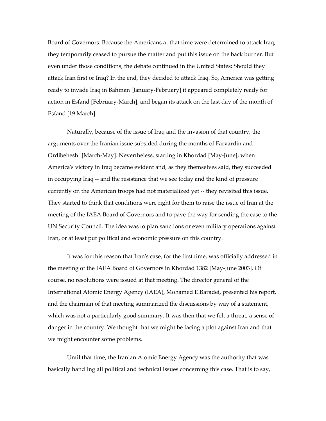Board of Governors. Because the Americans at that time were determined to attack Iraq, they temporarily ceased to pursue the matter and put this issue on the back burner. But even under those conditions, the debate continued in the United States: Should they attack Iran first or Iraq? In the end, they decided to attack Iraq. So, America was getting ready to invade Iraq in Bahman [January‐February] it appeared completely ready for action in Esfand [February‐March], and began its attack on the last day of the month of Esfand [19 March].

Naturally, because of the issue of Iraq and the invasion of that country, the arguments over the Iranian issue subsided during the months of Farvardin and Ordibehesht [March‐May]. Nevertheless, starting in Khordad [May‐June], when America's victory in Iraq became evident and, as they themselves said, they succeeded in occupying Iraq ‐‐ and the resistance that we see today and the kind of pressure currently on the American troops had not materialized yet ‐‐ they revisited this issue. They started to think that conditions were right for them to raise the issue of Iran at the meeting of the IAEA Board of Governors and to pave the way for sending the case to the UN Security Council. The idea was to plan sanctions or even military operations against Iran, or at least put political and economic pressure on this country.

It was for this reason that Iran's case, for the first time, was officially addressed in the meeting of the IAEA Board of Governors in Khordad 1382 [May‐June 2003]. Of course, no resolutions were issued at that meeting. The director general of the International Atomic Energy Agency (IAEA), Mohamed ElBaradei, presented his report, and the chairman of that meeting summarized the discussions by way of a statement, which was not a particularly good summary. It was then that we felt a threat, a sense of danger in the country. We thought that we might be facing a plot against Iran and that we might encounter some problems.

Until that time, the Iranian Atomic Energy Agency was the authority that was basically handling all political and technical issues concerning this case. That is to say,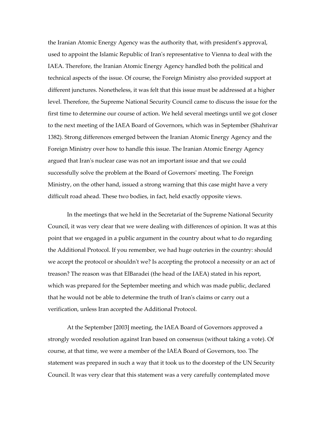the Iranian Atomic Energy Agency was the authority that, with presidentʹs approval, used to appoint the Islamic Republic of Iranʹs representative to Vienna to deal with the IAEA. Therefore, the Iranian Atomic Energy Agency handled both the political and technical aspects of the issue. Of course, the Foreign Ministry also provided support at different junctures. Nonetheless, it was felt that this issue must be addressed at a higher level. Therefore, the Supreme National Security Council came to discuss the issue for the first time to determine our course of action. We held several meetings until we got closer to the next meeting of the IAEA Board of Governors, which was in September (Shahrivar 1382). Strong differences emerged between the Iranian Atomic Energy Agency and the Foreign Ministry over how to handle this issue. The Iranian Atomic Energy Agency argued that Iranʹs nuclear case was not an important issue and that we could successfully solve the problem at the Board of Governors' meeting. The Foreign Ministry, on the other hand, issued a strong warning that this case might have a very difficult road ahead. These two bodies, in fact, held exactly opposite views.

In the meetings that we held in the Secretariat of the Supreme National Security Council, it was very clear that we were dealing with differences of opinion. It was at this point that we engaged in a public argument in the country about what to do regarding the Additional Protocol. If you remember, we had huge outcries in the country: should we accept the protocol or shouldn't we? Is accepting the protocol a necessity or an act of treason? The reason was that ElBaradei (the head of the IAEA) stated in his report, which was prepared for the September meeting and which was made public, declared that he would not be able to determine the truth of Iranʹs claims or carry out a verification, unless Iran accepted the Additional Protocol.

At the September [2003] meeting, the IAEA Board of Governors approved a strongly worded resolution against Iran based on consensus (without taking a vote). Of course, at that time, we were a member of the IAEA Board of Governors, too. The statement was prepared in such a way that it took us to the doorstep of the UN Security Council. It was very clear that this statement was a very carefully contemplated move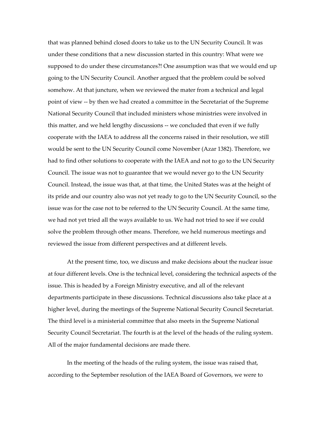that was planned behind closed doors to take us to the UN Security Council. It was under these conditions that a new discussion started in this country: What were we supposed to do under these circumstances?! One assumption was that we would end up going to the UN Security Council. Another argued that the problem could be solved somehow. At that juncture, when we reviewed the mater from a technical and legal point of view ‐‐ by then we had created a committee in the Secretariat of the Supreme National Security Council that included ministers whose ministries were involved in this matter, and we held lengthy discussions ‐‐ we concluded that even if we fully cooperate with the IAEA to address all the concerns raised in their resolution, we still would be sent to the UN Security Council come November (Azar 1382). Therefore, we had to find other solutions to cooperate with the IAEA and not to go to the UN Security Council. The issue was not to guarantee that we would never go to the UN Security Council. Instead, the issue was that, at that time, the United States was at the height of its pride and our country also was not yet ready to go to the UN Security Council, so the issue was for the case not to be referred to the UN Security Council. At the same time, we had not yet tried all the ways available to us. We had not tried to see if we could solve the problem through other means. Therefore, we held numerous meetings and reviewed the issue from different perspectives and at different levels.

At the present time, too, we discuss and make decisions about the nuclear issue at four different levels. One is the technical level, considering the technical aspects of the issue. This is headed by a Foreign Ministry executive, and all of the relevant departments participate in these discussions. Technical discussions also take place at a higher level, during the meetings of the Supreme National Security Council Secretariat. The third level is a ministerial committee that also meets in the Supreme National Security Council Secretariat. The fourth is at the level of the heads of the ruling system. All of the major fundamental decisions are made there.

In the meeting of the heads of the ruling system, the issue was raised that, according to the September resolution of the IAEA Board of Governors, we were to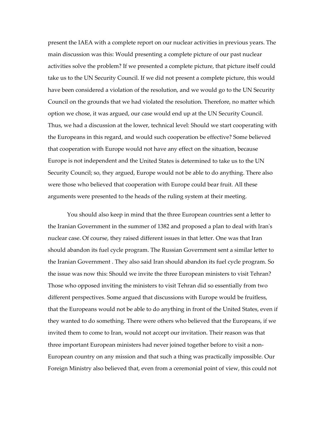present the IAEA with a complete report on our nuclear activities in previous years. The main discussion was this: Would presenting a complete picture of our past nuclear activities solve the problem? If we presented a complete picture, that picture itself could take us to the UN Security Council. If we did not present a complete picture, this would have been considered a violation of the resolution, and we would go to the UN Security Council on the grounds that we had violated the resolution. Therefore, no matter which option we chose, it was argued, our case would end up at the UN Security Council. Thus, we had a discussion at the lower, technical level: Should we start cooperating with the Europeans in this regard, and would such cooperation be effective? Some believed that cooperation with Europe would not have any effect on the situation, because Europe is not independent and the United States is determined to take us to the UN Security Council; so, they argued, Europe would not be able to do anything. There also were those who believed that cooperation with Europe could bear fruit. All these arguments were presented to the heads of the ruling system at their meeting.

You should also keep in mind that the three European countries sent a letter to the Iranian Government in the summer of 1382 and proposed a plan to deal with Iranʹs nuclear case. Of course, they raised different issues in that letter. One was that Iran should abandon its fuel cycle program. The Russian Government sent a similar letter to the Iranian Government . They also said Iran should abandon its fuel cycle program. So the issue was now this: Should we invite the three European ministers to visit Tehran? Those who opposed inviting the ministers to visit Tehran did so essentially from two different perspectives. Some argued that discussions with Europe would be fruitless, that the Europeans would not be able to do anything in front of the United States, even if they wanted to do something. There were others who believed that the Europeans, if we invited them to come to Iran, would not accept our invitation. Their reason was that three important European ministers had never joined together before to visit a non‐ European country on any mission and that such a thing was practically impossible. Our Foreign Ministry also believed that, even from a ceremonial point of view, this could not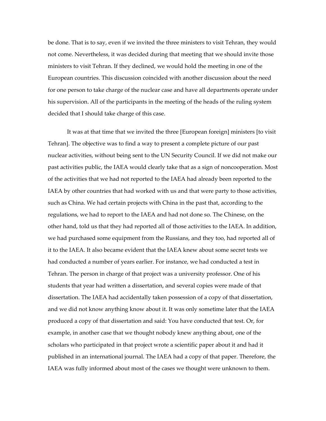be done. That is to say, even if we invited the three ministers to visit Tehran, they would not come. Nevertheless, it was decided during that meeting that we should invite those ministers to visit Tehran. If they declined, we would hold the meeting in one of the European countries. This discussion coincided with another discussion about the need for one person to take charge of the nuclear case and have all departments operate under his supervision. All of the participants in the meeting of the heads of the ruling system decided that I should take charge of this case.

It was at that time that we invited the three [European foreign] ministers [to visit Tehran]. The objective was to find a way to present a complete picture of our past nuclear activities, without being sent to the UN Security Council. If we did not make our past activities public, the IAEA would clearly take that as a sign of noncooperation. Most of the activities that we had not reported to the IAEA had already been reported to the IAEA by other countries that had worked with us and that were party to those activities, such as China. We had certain projects with China in the past that, according to the regulations, we had to report to the IAEA and had not done so. The Chinese, on the other hand, told us that they had reported all of those activities to the IAEA. In addition, we had purchased some equipment from the Russians, and they too, had reported all of it to the IAEA. It also became evident that the IAEA knew about some secret tests we had conducted a number of years earlier. For instance, we had conducted a test in Tehran. The person in charge of that project was a university professor. One of his students that year had written a dissertation, and several copies were made of that dissertation. The IAEA had accidentally taken possession of a copy of that dissertation, and we did not know anything know about it. It was only sometime later that the IAEA produced a copy of that dissertation and said: You have conducted that test. Or, for example, in another case that we thought nobody knew anything about, one of the scholars who participated in that project wrote a scientific paper about it and had it published in an international journal. The IAEA had a copy of that paper. Therefore, the IAEA was fully informed about most of the cases we thought were unknown to them.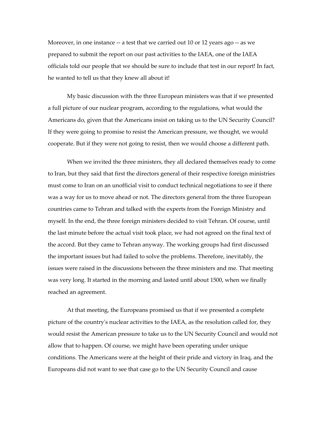Moreover, in one instance -- a test that we carried out 10 or 12 years ago -- as we prepared to submit the report on our past activities to the IAEA, one of the IAEA officials told our people that we should be sure to include that test in our report! In fact, he wanted to tell us that they knew all about it!

My basic discussion with the three European ministers was that if we presented a full picture of our nuclear program, according to the regulations, what would the Americans do, given that the Americans insist on taking us to the UN Security Council? If they were going to promise to resist the American pressure, we thought, we would cooperate. But if they were not going to resist, then we would choose a different path.

When we invited the three ministers, they all declared themselves ready to come to Iran, but they said that first the directors general of their respective foreign ministries must come to Iran on an unofficial visit to conduct technical negotiations to see if there was a way for us to move ahead or not. The directors general from the three European countries came to Tehran and talked with the experts from the Foreign Ministry and myself. In the end, the three foreign ministers decided to visit Tehran. Of course, until the last minute before the actual visit took place, we had not agreed on the final text of the accord. But they came to Tehran anyway. The working groups had first discussed the important issues but had failed to solve the problems. Therefore, inevitably, the issues were raised in the discussions between the three ministers and me. That meeting was very long. It started in the morning and lasted until about 1500, when we finally reached an agreement.

At that meeting, the Europeans promised us that if we presented a complete picture of the countryʹs nuclear activities to the IAEA, as the resolution called for, they would resist the American pressure to take us to the UN Security Council and would not allow that to happen. Of course, we might have been operating under unique conditions. The Americans were at the height of their pride and victory in Iraq, and the Europeans did not want to see that case go to the UN Security Council and cause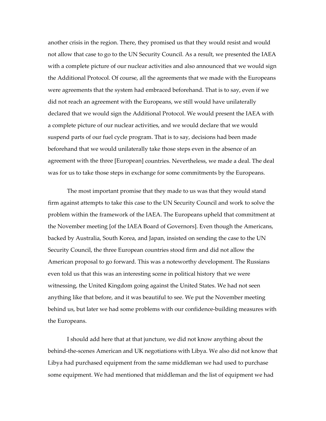another crisis in the region. There, they promised us that they would resist and would not allow that case to go to the UN Security Council. As a result, we presented the IAEA with a complete picture of our nuclear activities and also announced that we would sign the Additional Protocol. Of course, all the agreements that we made with the Europeans were agreements that the system had embraced beforehand. That is to say, even if we did not reach an agreement with the Europeans, we still would have unilaterally declared that we would sign the Additional Protocol. We would present the IAEA with a complete picture of our nuclear activities, and we would declare that we would suspend parts of our fuel cycle program. That is to say, decisions had been made beforehand that we would unilaterally take those steps even in the absence of an agreement with the three [European] countries. Nevertheless, we made a deal. The deal was for us to take those steps in exchange for some commitments by the Europeans.

The most important promise that they made to us was that they would stand firm against attempts to take this case to the UN Security Council and work to solve the problem within the framework of the IAEA. The Europeans upheld that commitment at the November meeting [of the IAEA Board of Governors]. Even though the Americans, backed by Australia, South Korea, and Japan, insisted on sending the case to the UN Security Council, the three European countries stood firm and did not allow the American proposal to go forward. This was a noteworthy development. The Russians even told us that this was an interesting scene in political history that we were witnessing, the United Kingdom going against the United States. We had not seen anything like that before, and it was beautiful to see. We put the November meeting behind us, but later we had some problems with our confidence-building measures with the Europeans.

I should add here that at that juncture, we did not know anything about the behind-the-scenes American and UK negotiations with Libya. We also did not know that Libya had purchased equipment from the same middleman we had used to purchase some equipment. We had mentioned that middleman and the list of equipment we had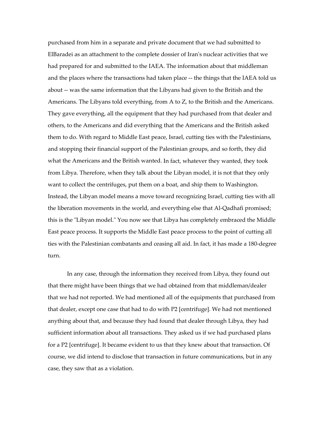purchased from him in a separate and private document that we had submitted to ElBaradei as an attachment to the complete dossier of Iranʹs nuclear activities that we had prepared for and submitted to the IAEA. The information about that middleman and the places where the transactions had taken place ‐‐ the things that the IAEA told us about ‐‐ was the same information that the Libyans had given to the British and the Americans. The Libyans told everything, from A to Z, to the British and the Americans. They gave everything, all the equipment that they had purchased from that dealer and others, to the Americans and did everything that the Americans and the British asked them to do. With regard to Middle East peace, Israel, cutting ties with the Palestinians, and stopping their financial support of the Palestinian groups, and so forth, they did what the Americans and the British wanted. In fact, whatever they wanted, they took from Libya. Therefore, when they talk about the Libyan model, it is not that they only want to collect the centrifuges, put them on a boat, and ship them to Washington. Instead, the Libyan model means a move toward recognizing Israel, cutting ties with all the liberation movements in the world, and everything else that Al‐Qadhafi promised; this is the "Libyan model." You now see that Libya has completely embraced the Middle East peace process. It supports the Middle East peace process to the point of cutting all ties with the Palestinian combatants and ceasing all aid. In fact, it has made a 180‐degree turn.

In any case, through the information they received from Libya, they found out that there might have been things that we had obtained from that middleman/dealer that we had not reported. We had mentioned all of the equipments that purchased from that dealer, except one case that had to do with P2 [centrifuge]. We had not mentioned anything about that, and because they had found that dealer through Libya, they had sufficient information about all transactions. They asked us if we had purchased plans for a P2 [centrifuge]. It became evident to us that they knew about that transaction. Of course, we did intend to disclose that transaction in future communications, but in any case, they saw that as a violation.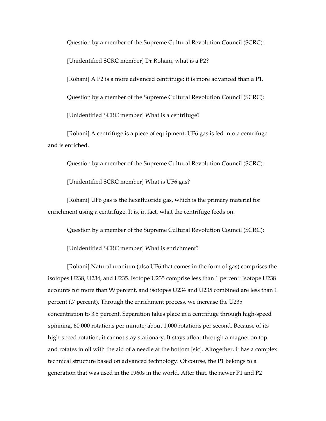Question by a member of the Supreme Cultural Revolution Council (SCRC): [Unidentified SCRC member] Dr Rohani, what is a P2?

[Rohani] A P2 is a more advanced centrifuge; it is more advanced than a P1.

Question by a member of the Supreme Cultural Revolution Council (SCRC):

[Unidentified SCRC member] What is a centrifuge?

[Rohani] A centrifuge is a piece of equipment; UF6 gas is fed into a centrifuge and is enriched.

Question by a member of the Supreme Cultural Revolution Council (SCRC):

[Unidentified SCRC member] What is UF6 gas?

[Rohani] UF6 gas is the hexafluoride gas, which is the primary material for enrichment using a centrifuge. It is, in fact, what the centrifuge feeds on.

Question by a member of the Supreme Cultural Revolution Council (SCRC):

[Unidentified SCRC member] What is enrichment?

[Rohani] Natural uranium (also UF6 that comes in the form of gas) comprises the isotopes U238, U234, and U235. Isotope U235 comprise less than 1 percent. Isotope U238 accounts for more than 99 percent, and isotopes U234 and U235 combined are less than 1 percent (.7 percent). Through the enrichment process, we increase the U235 concentration to 3.5 percent. Separation takes place in a centrifuge through high‐speed spinning, 60,000 rotations per minute; about 1,000 rotations per second. Because of its high-speed rotation, it cannot stay stationary. It stays afloat through a magnet on top and rotates in oil with the aid of a needle at the bottom [sic]. Altogether, it has a complex technical structure based on advanced technology. Of course, the P1 belongs to a generation that was used in the 1960s in the world. After that, the newer P1 and P2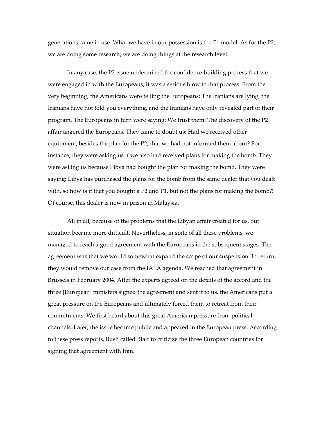generations came in use. What we have in our possession is the P1 model. As for the P2, we are doing some research; we are doing things at the research level.

In any case, the P2 issue undermined the confidence‐building process that we were engaged in with the Europeans; it was a serious blow to that process. From the very beginning, the Americans were telling the Europeans: The Iranians are lying, the Iranians have not told you everything, and the Iranians have only revealed part of their program. The Europeans in turn were saying: We trust them. The discovery of the P2 affair angered the Europeans. They came to doubt us: Had we received other equipment, besides the plan for the P2, that we had not informed them about? For instance, they were asking us if we also had received plans for making the bomb. They were asking us because Libya had bought the plan for making the bomb. They were saying: Libya has purchased the plans for the bomb from the same dealer that you dealt with, so how is it that you bought a P2 and P1, but not the plans for making the bomb?! Of course, this dealer is now in prison in Malaysia.

All in all, because of the problems that the Libyan affair created for us, our situation became more difficult. Nevertheless, in spite of all these problems, we managed to reach a good agreement with the Europeans in the subsequent stages. The agreement was that we would somewhat expand the scope of our suspension. In return, they would remove our case from the IAEA agenda. We reached that agreement in Brussels in February 2004. After the experts agreed on the details of the accord and the three [European] ministers signed the agreement and sent it to us, the Americans put a great pressure on the Europeans and ultimately forced them to retreat from their commitments. We first heard about this great American pressure from political channels. Later, the issue became public and appeared in the European press. According to these press reports, Bush called Blair to criticize the three European countries for signing that agreement with Iran.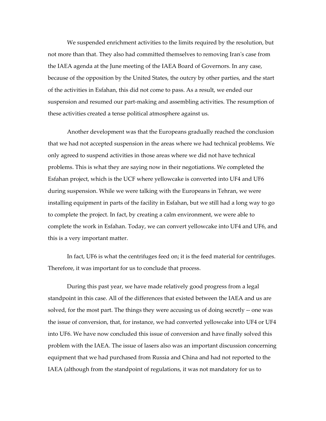We suspended enrichment activities to the limits required by the resolution, but not more than that. They also had committed themselves to removing Iran's case from the IAEA agenda at the June meeting of the IAEA Board of Governors. In any case, because of the opposition by the United States, the outcry by other parties, and the start of the activities in Esfahan, this did not come to pass. As a result, we ended our suspension and resumed our part‐making and assembling activities. The resumption of these activities created a tense political atmosphere against us.

Another development was that the Europeans gradually reached the conclusion that we had not accepted suspension in the areas where we had technical problems. We only agreed to suspend activities in those areas where we did not have technical problems. This is what they are saying now in their negotiations. We completed the Esfahan project, which is the UCF where yellowcake is converted into UF4 and UF6 during suspension. While we were talking with the Europeans in Tehran, we were installing equipment in parts of the facility in Esfahan, but we still had a long way to go to complete the project. In fact, by creating a calm environment, we were able to complete the work in Esfahan. Today, we can convert yellowcake into UF4 and UF6, and this is a very important matter.

In fact, UF6 is what the centrifuges feed on; it is the feed material for centrifuges. Therefore, it was important for us to conclude that process.

During this past year, we have made relatively good progress from a legal standpoint in this case. All of the differences that existed between the IAEA and us are solved, for the most part. The things they were accusing us of doing secretly -- one was the issue of conversion, that, for instance, we had converted yellowcake into UF4 or UF4 into UF6. We have now concluded this issue of conversion and have finally solved this problem with the IAEA. The issue of lasers also was an important discussion concerning equipment that we had purchased from Russia and China and had not reported to the IAEA (although from the standpoint of regulations, it was not mandatory for us to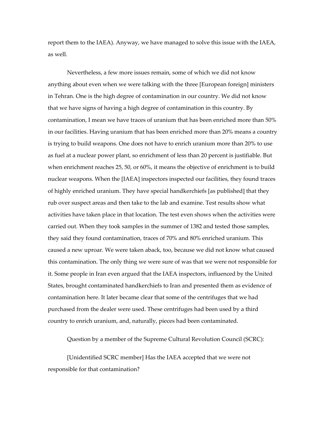report them to the IAEA). Anyway, we have managed to solve this issue with the IAEA, as well.

Nevertheless, a few more issues remain, some of which we did not know anything about even when we were talking with the three [European foreign] ministers in Tehran. One is the high degree of contamination in our country. We did not know that we have signs of having a high degree of contamination in this country. By contamination, I mean we have traces of uranium that has been enriched more than 50% in our facilities. Having uranium that has been enriched more than 20% means a country is trying to build weapons. One does not have to enrich uranium more than 20% to use as fuel at a nuclear power plant, so enrichment of less than 20 percent is justifiable. But when enrichment reaches 25, 50, or 60%, it means the objective of enrichment is to build nuclear weapons. When the [IAEA] inspectors inspected our facilities, they found traces of highly enriched uranium. They have special handkerchiefs [as published] that they rub over suspect areas and then take to the lab and examine. Test results show what activities have taken place in that location. The test even shows when the activities were carried out. When they took samples in the summer of 1382 and tested those samples, they said they found contamination, traces of 70% and 80% enriched uranium. This caused a new uproar. We were taken aback, too, because we did not know what caused this contamination. The only thing we were sure of was that we were not responsible for it. Some people in Iran even argued that the IAEA inspectors, influenced by the United States, brought contaminated handkerchiefs to Iran and presented them as evidence of contamination here. It later became clear that some of the centrifuges that we had purchased from the dealer were used. These centrifuges had been used by a third country to enrich uranium, and, naturally, pieces had been contaminated.

Question by a member of the Supreme Cultural Revolution Council (SCRC):

[Unidentified SCRC member] Has the IAEA accepted that we were not responsible for that contamination?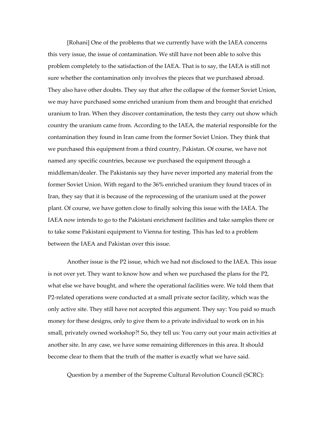[Rohani] One of the problems that we currently have with the IAEA concerns this very issue, the issue of contamination. We still have not been able to solve this problem completely to the satisfaction of the IAEA. That is to say, the IAEA is still not sure whether the contamination only involves the pieces that we purchased abroad. They also have other doubts. They say that after the collapse of the former Soviet Union, we may have purchased some enriched uranium from them and brought that enriched uranium to Iran. When they discover contamination, the tests they carry out show which country the uranium came from. According to the IAEA, the material responsible for the contamination they found in Iran came from the former Soviet Union. They think that we purchased this equipment from a third country, Pakistan. Of course, we have not named any specific countries, because we purchased the equipment through a middleman/dealer. The Pakistanis say they have never imported any material from the former Soviet Union. With regard to the 36% enriched uranium they found traces of in Iran, they say that it is because of the reprocessing of the uranium used at the power plant. Of course, we have gotten close to finally solving this issue with the IAEA. The IAEA now intends to go to the Pakistani enrichment facilities and take samples there or to take some Pakistani equipment to Vienna for testing. This has led to a problem between the IAEA and Pakistan over this issue.

Another issue is the P2 issue, which we had not disclosed to the IAEA. This issue is not over yet. They want to know how and when we purchased the plans for the P2, what else we have bought, and where the operational facilities were. We told them that P2-related operations were conducted at a small private sector facility, which was the only active site. They still have not accepted this argument. They say: You paid so much money for these designs, only to give them to a private individual to work on in his small, privately owned workshop?! So, they tell us: You carry out your main activities at another site. In any case, we have some remaining differences in this area. It should become clear to them that the truth of the matter is exactly what we have said.

Question by a member of the Supreme Cultural Revolution Council (SCRC):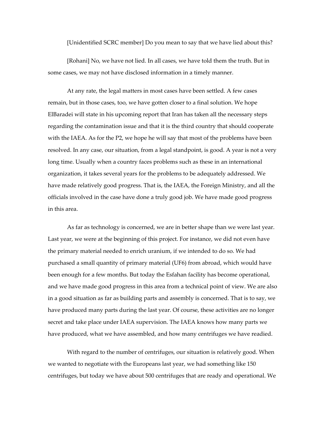[Unidentified SCRC member] Do you mean to say that we have lied about this?

[Rohani] No, we have not lied. In all cases, we have told them the truth. But in some cases, we may not have disclosed information in a timely manner.

At any rate, the legal matters in most cases have been settled. A few cases remain, but in those cases, too, we have gotten closer to a final solution. We hope ElBaradei will state in his upcoming report that Iran has taken all the necessary steps regarding the contamination issue and that it is the third country that should cooperate with the IAEA. As for the P2, we hope he will say that most of the problems have been resolved. In any case, our situation, from a legal standpoint, is good. A year is not a very long time. Usually when a country faces problems such as these in an international organization, it takes several years for the problems to be adequately addressed. We have made relatively good progress. That is, the IAEA, the Foreign Ministry, and all the officials involved in the case have done a truly good job. We have made good progress in this area.

As far as technology is concerned, we are in better shape than we were last year. Last year, we were at the beginning of this project. For instance, we did not even have the primary material needed to enrich uranium, if we intended to do so. We had purchased a small quantity of primary material (UF6) from abroad, which would have been enough for a few months. But today the Esfahan facility has become operational, and we have made good progress in this area from a technical point of view. We are also in a good situation as far as building parts and assembly is concerned. That is to say, we have produced many parts during the last year. Of course, these activities are no longer secret and take place under IAEA supervision. The IAEA knows how many parts we have produced, what we have assembled, and how many centrifuges we have readied.

With regard to the number of centrifuges, our situation is relatively good. When we wanted to negotiate with the Europeans last year, we had something like 150 centrifuges, but today we have about 500 centrifuges that are ready and operational. We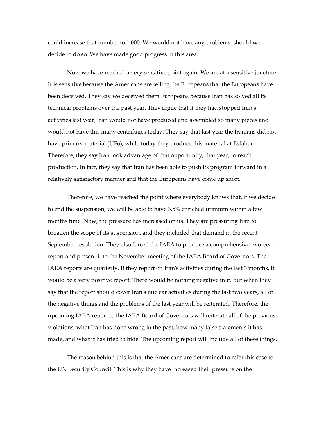could increase that number to 1,000. We would not have any problems, should we decide to do so. We have made good progress in this area.

Now we have reached a very sensitive point again. We are at a sensitive juncture. It is sensitive because the Americans are telling the Europeans that the Europeans have been deceived. They say we deceived them Europeans because Iran has solved all its technical problems over the past year. They argue that if they had stopped Iranʹs activities last year, Iran would not have produced and assembled so many pieces and would not have this many centrifuges today. They say that last year the Iranians did not have primary material (UF6), while today they produce this material at Esfahan. Therefore, they say Iran took advantage of that opportunity, that year, to reach production. In fact, they say that Iran has been able to push its program forward in a relatively satisfactory manner and that the Europeans have come up short.

Therefore, we have reached the point where everybody knows that, if we decide to end the suspension, we will be able to have 3.5% enriched uranium within a few months time. Now, the pressure has increased on us. They are pressuring Iran to broaden the scope of its suspension, and they included that demand in the recent September resolution. They also forced the IAEA to produce a comprehensive two-year report and present it to the November meeting of the IAEA Board of Governors. The IAEA reports are quarterly. If they report on Iranʹs activities during the last 3 months, it would be a very positive report. There would be nothing negative in it. But when they say that the report should cover Iran's nuclear activities during the last two years, all of the negative things and the problems of the last year will be reiterated. Therefore, the upcoming IAEA report to the IAEA Board of Governors will reiterate all of the previous violations, what Iran has done wrong in the past, how many false statements it has made, and what it has tried to hide. The upcoming report will include all of these things.

The reason behind this is that the Americans are determined to refer this case to the UN Security Council. This is why they have increased their pressure on the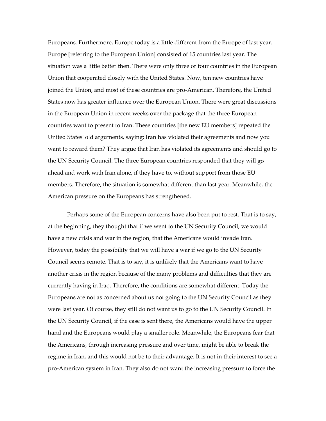Europeans. Furthermore, Europe today is a little different from the Europe of last year. Europe [referring to the European Union] consisted of 15 countries last year. The situation was a little better then. There were only three or four countries in the European Union that cooperated closely with the United States. Now, ten new countries have joined the Union, and most of these countries are pro‐American. Therefore, the United States now has greater influence over the European Union. There were great discussions in the European Union in recent weeks over the package that the three European countries want to present to Iran. These countries [the new EU members] repeated the United Statesʹ old arguments, saying: Iran has violated their agreements and now you want to reward them? They argue that Iran has violated its agreements and should go to the UN Security Council. The three European countries responded that they will go ahead and work with Iran alone, if they have to, without support from those EU members. Therefore, the situation is somewhat different than last year. Meanwhile, the American pressure on the Europeans has strengthened.

Perhaps some of the European concerns have also been put to rest. That is to say, at the beginning, they thought that if we went to the UN Security Council, we would have a new crisis and war in the region, that the Americans would invade Iran. However, today the possibility that we will have a war if we go to the UN Security Council seems remote. That is to say, it is unlikely that the Americans want to have another crisis in the region because of the many problems and difficulties that they are currently having in Iraq. Therefore, the conditions are somewhat different. Today the Europeans are not as concerned about us not going to the UN Security Council as they were last year. Of course, they still do not want us to go to the UN Security Council. In the UN Security Council, if the case is sent there, the Americans would have the upper hand and the Europeans would play a smaller role. Meanwhile, the Europeans fear that the Americans, through increasing pressure and over time, might be able to break the regime in Iran, and this would not be to their advantage. It is not in their interest to see a pro‐American system in Iran. They also do not want the increasing pressure to force the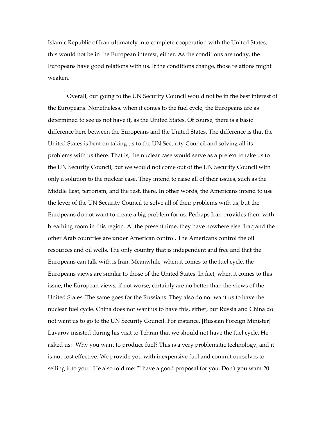Islamic Republic of Iran ultimately into complete cooperation with the United States; this would not be in the European interest, either. As the conditions are today, the Europeans have good relations with us. If the conditions change, those relations might weaken.

Overall, our going to the UN Security Council would not be in the best interest of the Europeans. Nonetheless, when it comes to the fuel cycle, the Europeans are as determined to see us not have it, as the United States. Of course, there is a basic difference here between the Europeans and the United States. The difference is that the United States is bent on taking us to the UN Security Council and solving all its problems with us there. That is, the nuclear case would serve as a pretext to take us to the UN Security Council, but we would not come out of the UN Security Council with only a solution to the nuclear case. They intend to raise all of their issues, such as the Middle East, terrorism, and the rest, there. In other words, the Americans intend to use the lever of the UN Security Council to solve all of their problems with us, but the Europeans do not want to create a big problem for us. Perhaps Iran provides them with breathing room in this region. At the present time, they have nowhere else. Iraq and the other Arab countries are under American control. The Americans control the oil resources and oil wells. The only country that is independent and free and that the Europeans can talk with is Iran. Meanwhile, when it comes to the fuel cycle, the Europeans views are similar to those of the United States. In fact, when it comes to this issue, the European views, if not worse, certainly are no better than the views of the United States. The same goes for the Russians. They also do not want us to have the nuclear fuel cycle. China does not want us to have this, either, but Russia and China do not want us to go to the UN Security Council. For instance, [Russian Foreign Minister] Lavarov insisted during his visit to Tehran that we should not have the fuel cycle. He asked us: "Why you want to produce fuel? This is a very problematic technology, and it is not cost effective. We provide you with inexpensive fuel and commit ourselves to selling it to you." He also told me: "I have a good proposal for you. Don't you want 20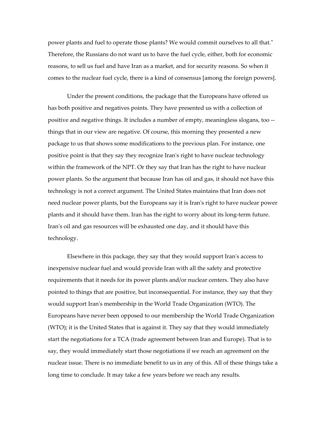power plants and fuel to operate those plants? We would commit ourselves to all that." Therefore, the Russians do not want us to have the fuel cycle, either, both for economic reasons, to sell us fuel and have Iran as a market, and for security reasons. So when it comes to the nuclear fuel cycle, there is a kind of consensus [among the foreign powers].

Under the present conditions, the package that the Europeans have offered us has both positive and negatives points. They have presented us with a collection of positive and negative things. It includes a number of empty, meaningless slogans, too ‐‐ things that in our view are negative. Of course, this morning they presented a new package to us that shows some modifications to the previous plan. For instance, one positive point is that they say they recognize Iranʹs right to have nuclear technology within the framework of the NPT. Or they say that Iran has the right to have nuclear power plants. So the argument that because Iran has oil and gas, it should not have this technology is not a correct argument. The United States maintains that Iran does not need nuclear power plants, but the Europeans say it is Iranʹs right to have nuclear power plants and it should have them. Iran has the right to worry about its long‐term future. Iran's oil and gas resources will be exhausted one day, and it should have this technology.

Elsewhere in this package, they say that they would support Iranʹs access to inexpensive nuclear fuel and would provide Iran with all the safety and protective requirements that it needs for its power plants and/or nuclear centers. They also have pointed to things that are positive, but inconsequential. For instance, they say that they would support Iranʹs membership in the World Trade Organization (WTO). The Europeans have never been opposed to our membership the World Trade Organization (WTO); it is the United States that is against it. They say that they would immediately start the negotiations for a TCA (trade agreement between Iran and Europe). That is to say, they would immediately start those negotiations if we reach an agreement on the nuclear issue. There is no immediate benefit to us in any of this. All of these things take a long time to conclude. It may take a few years before we reach any results.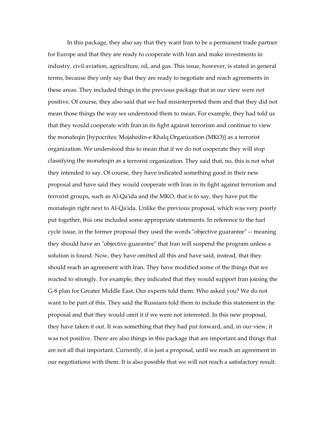In this package, they also say that they want Iran to be a permanent trade partner for Europe and that they are ready to cooperate with Iran and make investments in industry, civil aviation, agriculture, oil, and gas. This issue, however, is stated in general terms, because they only say that they are ready to negotiate and reach agreements in these areas. They included things in the previous package that in our view were not positive. Of course, they also said that we had misinterpreted them and that they did not mean those things the way we understood them to mean. For example, they had told us that they would cooperate with Iran in its fight against terrorism and continue to view the monafeqin [hypocrites; Mojahedin‐e Khalq Organization (MKO)] as a terrorist organization. We understood this to mean that if we do not cooperate they will stop classifying the monafeqin as a terrorist organization. They said that, no, this is not what they intended to say. Of course, they have indicated something good in their new proposal and have said they would cooperate with Iran in its fight against terrorism and terrorist groups, such as Al‐Qaʹida and the MKO, that is to say, they have put the monafeqin right next to Al-Qa'ida. Unlike the previous proposal, which was very poorly put together, this one included some appropriate statements. In reference to the fuel cycle issue, in the former proposal they used the words "objective guarantee" -- meaning they should have an "objective guarantee" that Iran will suspend the program unless a solution is found. Now, they have omitted all this and have said, instead, that they should reach an agreement with Iran. They have modified some of the things that we reacted to strongly. For example, they indicated that they would support Iran joining the G‐8 plan for Greater Middle East. Our experts told them: Who asked you? We do not want to be part of this. They said the Russians told them to include this statement in the proposal and that they would omit it if we were not interested. In this new proposal, they have taken it out. It was something that they had put forward, and, in our view, it was not positive. There are also things in this package that are important and things that are not all that important. Currently, it is just a proposal, until we reach an agreement in our negotiations with them. It is also possible that we will not reach a satisfactory result.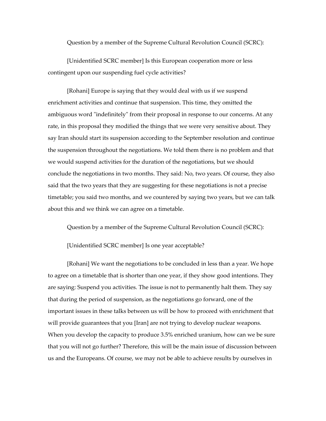Question by a member of the Supreme Cultural Revolution Council (SCRC):

[Unidentified SCRC member] Is this European cooperation more or less contingent upon our suspending fuel cycle activities?

[Rohani] Europe is saying that they would deal with us if we suspend enrichment activities and continue that suspension. This time, they omitted the ambiguous word "indefinitely" from their proposal in response to our concerns. At any rate, in this proposal they modified the things that we were very sensitive about. They say Iran should start its suspension according to the September resolution and continue the suspension throughout the negotiations. We told them there is no problem and that we would suspend activities for the duration of the negotiations, but we should conclude the negotiations in two months. They said: No, two years. Of course, they also said that the two years that they are suggesting for these negotiations is not a precise timetable; you said two months, and we countered by saying two years, but we can talk about this and we think we can agree on a timetable.

Question by a member of the Supreme Cultural Revolution Council (SCRC):

[Unidentified SCRC member] Is one year acceptable?

[Rohani] We want the negotiations to be concluded in less than a year. We hope to agree on a timetable that is shorter than one year, if they show good intentions. They are saying: Suspend you activities. The issue is not to permanently halt them. They say that during the period of suspension, as the negotiations go forward, one of the important issues in these talks between us will be how to proceed with enrichment that will provide guarantees that you [Iran] are not trying to develop nuclear weapons. When you develop the capacity to produce 3.5% enriched uranium, how can we be sure that you will not go further? Therefore, this will be the main issue of discussion between us and the Europeans. Of course, we may not be able to achieve results by ourselves in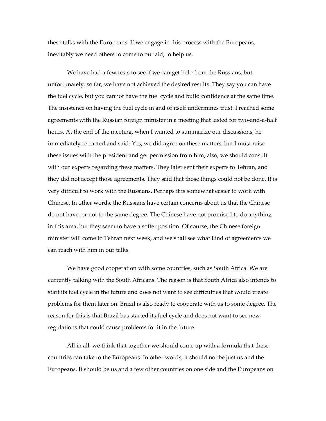these talks with the Europeans. If we engage in this process with the Europeans, inevitably we need others to come to our aid, to help us.

We have had a few tests to see if we can get help from the Russians, but unfortunately, so far, we have not achieved the desired results. They say you can have the fuel cycle, but you cannot have the fuel cycle and build confidence at the same time. The insistence on having the fuel cycle in and of itself undermines trust. I reached some agreements with the Russian foreign minister in a meeting that lasted for two‐and‐a‐half hours. At the end of the meeting, when I wanted to summarize our discussions, he immediately retracted and said: Yes, we did agree on these matters, but I must raise these issues with the president and get permission from him; also, we should consult with our experts regarding these matters. They later sent their experts to Tehran, and they did not accept those agreements. They said that those things could not be done. It is very difficult to work with the Russians. Perhaps it is somewhat easier to work with Chinese. In other words, the Russians have certain concerns about us that the Chinese do not have, or not to the same degree. The Chinese have not promised to do anything in this area, but they seem to have a softer position. Of course, the Chinese foreign minister will come to Tehran next week, and we shall see what kind of agreements we can reach with him in our talks.

We have good cooperation with some countries, such as South Africa. We are currently talking with the South Africans. The reason is that South Africa also intends to start its fuel cycle in the future and does not want to see difficulties that would create problems for them later on. Brazil is also ready to cooperate with us to some degree. The reason for this is that Brazil has started its fuel cycle and does not want to see new regulations that could cause problems for it in the future.

All in all, we think that together we should come up with a formula that these countries can take to the Europeans. In other words, it should not be just us and the Europeans. It should be us and a few other countries on one side and the Europeans on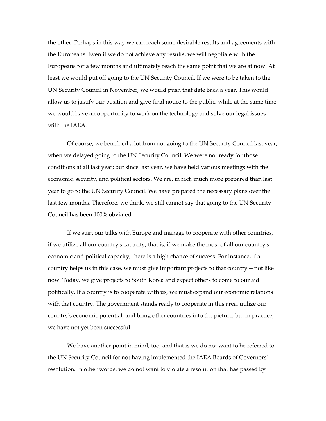the other. Perhaps in this way we can reach some desirable results and agreements with the Europeans. Even if we do not achieve any results, we will negotiate with the Europeans for a few months and ultimately reach the same point that we are at now. At least we would put off going to the UN Security Council. If we were to be taken to the UN Security Council in November, we would push that date back a year. This would allow us to justify our position and give final notice to the public, while at the same time we would have an opportunity to work on the technology and solve our legal issues with the IAEA

Of course, we benefited a lot from not going to the UN Security Council last year, when we delayed going to the UN Security Council. We were not ready for those conditions at all last year; but since last year, we have held various meetings with the economic, security, and political sectors. We are, in fact, much more prepared than last year to go to the UN Security Council. We have prepared the necessary plans over the last few months. Therefore, we think, we still cannot say that going to the UN Security Council has been 100% obviated.

If we start our talks with Europe and manage to cooperate with other countries, if we utilize all our countryʹs capacity, that is, if we make the most of all our countryʹs economic and political capacity, there is a high chance of success. For instance, if a country helps us in this case, we must give important projects to that country -- not like now. Today, we give projects to South Korea and expect others to come to our aid politically. If a country is to cooperate with us, we must expand our economic relations with that country. The government stands ready to cooperate in this area, utilize our countryʹs economic potential, and bring other countries into the picture, but in practice, we have not yet been successful.

We have another point in mind, too, and that is we do not want to be referred to the UN Security Council for not having implemented the IAEA Boards of Governorsʹ resolution. In other words, we do not want to violate a resolution that has passed by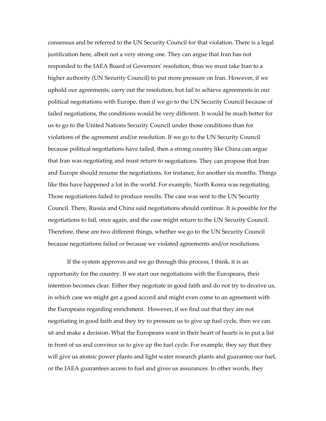consensus and be referred to the UN Security Council for that violation. There is a legal justification here, albeit not a very strong one. They can argue that Iran has not responded to the IAEA Board of Governorsʹ resolution, thus we must take Iran to a higher authority (UN Security Council) to put more pressure on Iran. However, if we uphold our agreements, carry out the resolution, but fail to achieve agreements in our political negotiations with Europe, then if we go to the UN Security Council because of failed negotiations, the conditions would be very different. It would be much better for us to go to the United Nations Security Council under those conditions than for violations of the agreement and/or resolution. If we go to the UN Security Council because political negotiations have failed, then a strong country like China can argue that Iran was negotiating and must return to negotiations. They can propose that Iran and Europe should resume the negotiations, for instance, for another six months. Things like this have happened a lot in the world. For example, North Korea was negotiating. Those negotiations failed to produce results. The case was sent to the UN Security Council. There, Russia and China said negotiations should continue. It is possible for the negotiations to fail, once again, and the case might return to the UN Security Council. Therefore, these are two different things, whether we go to the UN Security Council because negotiations failed or because we violated agreements and/or resolutions.

If the system approves and we go through this process, I think, it is an opportunity for the country. If we start our negotiations with the Europeans, their intention becomes clear. Either they negotiate in good faith and do not try to deceive us, in which case we might get a good accord and might even come to an agreement with the Europeans regarding enrichment. However, if we find out that they are not negotiating in good faith and they try to pressure us to give up fuel cycle, then we can sit and make a decision. What the Europeans want in their heart of hearts is to put a list in front of us and convince us to give up the fuel cycle. For example, they say that they will give us atomic power plants and light water research plants and guarantee our fuel, or the IAEA guarantees access to fuel and gives us assurances. In other words, they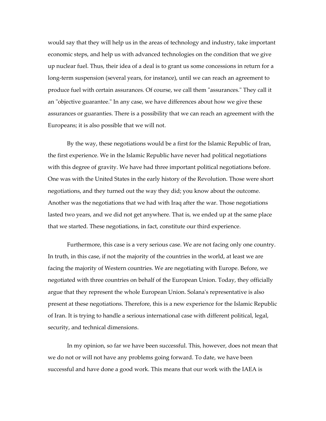would say that they will help us in the areas of technology and industry, take important economic steps, and help us with advanced technologies on the condition that we give up nuclear fuel. Thus, their idea of a deal is to grant us some concessions in return for a long-term suspension (several years, for instance), until we can reach an agreement to produce fuel with certain assurances. Of course, we call them "assurances." They call it an "objective guarantee." In any case, we have differences about how we give these assurances or guaranties. There is a possibility that we can reach an agreement with the Europeans; it is also possible that we will not.

By the way, these negotiations would be a first for the Islamic Republic of Iran, the first experience. We in the Islamic Republic have never had political negotiations with this degree of gravity. We have had three important political negotiations before. One was with the United States in the early history of the Revolution. Those were short negotiations, and they turned out the way they did; you know about the outcome. Another was the negotiations that we had with Iraq after the war. Those negotiations lasted two years, and we did not get anywhere. That is, we ended up at the same place that we started. These negotiations, in fact, constitute our third experience.

Furthermore, this case is a very serious case. We are not facing only one country. In truth, in this case, if not the majority of the countries in the world, at least we are facing the majority of Western countries. We are negotiating with Europe. Before, we negotiated with three countries on behalf of the European Union. Today, they officially argue that they represent the whole European Union. Solanaʹs representative is also present at these negotiations. Therefore, this is a new experience for the Islamic Republic of Iran. It is trying to handle a serious international case with different political, legal, security, and technical dimensions.

In my opinion, so far we have been successful. This, however, does not mean that we do not or will not have any problems going forward. To date, we have been successful and have done a good work. This means that our work with the IAEA is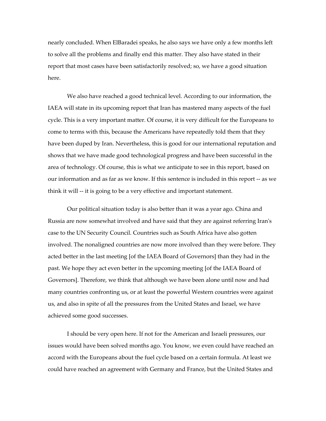nearly concluded. When ElBaradei speaks, he also says we have only a few months left to solve all the problems and finally end this matter. They also have stated in their report that most cases have been satisfactorily resolved; so, we have a good situation here.

We also have reached a good technical level. According to our information, the IAEA will state in its upcoming report that Iran has mastered many aspects of the fuel cycle. This is a very important matter. Of course, it is very difficult for the Europeans to come to terms with this, because the Americans have repeatedly told them that they have been duped by Iran. Nevertheless, this is good for our international reputation and shows that we have made good technological progress and have been successful in the area of technology. Of course, this is what we anticipate to see in this report, based on our information and as far as we know. If this sentence is included in this report ‐‐ as we think it will ‐‐ it is going to be a very effective and important statement.

Our political situation today is also better than it was a year ago. China and Russia are now somewhat involved and have said that they are against referring Iranʹs case to the UN Security Council. Countries such as South Africa have also gotten involved. The nonaligned countries are now more involved than they were before. They acted better in the last meeting [of the IAEA Board of Governors] than they had in the past. We hope they act even better in the upcoming meeting [of the IAEA Board of Governors]. Therefore, we think that although we have been alone until now and had many countries confronting us, or at least the powerful Western countries were against us, and also in spite of all the pressures from the United States and Israel, we have achieved some good successes.

I should be very open here. If not for the American and Israeli pressures, our issues would have been solved months ago. You know, we even could have reached an accord with the Europeans about the fuel cycle based on a certain formula. At least we could have reached an agreement with Germany and France, but the United States and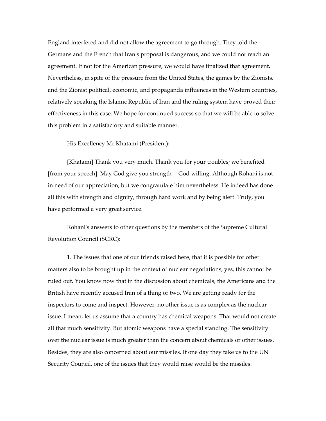England interfered and did not allow the agreement to go through. They told the Germans and the French that Iranʹs proposal is dangerous, and we could not reach an agreement. If not for the American pressure, we would have finalized that agreement. Nevertheless, in spite of the pressure from the United States, the games by the Zionists, and the Zionist political, economic, and propaganda influences in the Western countries, relatively speaking the Islamic Republic of Iran and the ruling system have proved their effectiveness in this case. We hope for continued success so that we will be able to solve this problem in a satisfactory and suitable manner.

His Excellency Mr Khatami (President):

[Khatami] Thank you very much. Thank you for your troubles; we benefited [from your speech]. May God give you strength ‐‐ God willing. Although Rohani is not in need of our appreciation, but we congratulate him nevertheless. He indeed has done all this with strength and dignity, through hard work and by being alert. Truly, you have performed a very great service.

Rohani's answers to other questions by the members of the Supreme Cultural Revolution Council (SCRC):

1. The issues that one of our friends raised here, that it is possible for other matters also to be brought up in the context of nuclear negotiations, yes, this cannot be ruled out. You know now that in the discussion about chemicals, the Americans and the British have recently accused Iran of a thing or two. We are getting ready for the inspectors to come and inspect. However, no other issue is as complex as the nuclear issue. I mean, let us assume that a country has chemical weapons. That would not create all that much sensitivity. But atomic weapons have a special standing. The sensitivity over the nuclear issue is much greater than the concern about chemicals or other issues. Besides, they are also concerned about our missiles. If one day they take us to the UN Security Council, one of the issues that they would raise would be the missiles.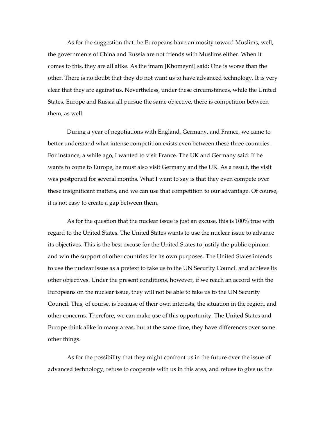As for the suggestion that the Europeans have animosity toward Muslims, well, the governments of China and Russia are not friends with Muslims either. When it comes to this, they are all alike. As the imam [Khomeyni] said: One is worse than the other. There is no doubt that they do not want us to have advanced technology. It is very clear that they are against us. Nevertheless, under these circumstances, while the United States, Europe and Russia all pursue the same objective, there is competition between them, as well.

During a year of negotiations with England, Germany, and France, we came to better understand what intense competition exists even between these three countries. For instance, a while ago, I wanted to visit France. The UK and Germany said: If he wants to come to Europe, he must also visit Germany and the UK. As a result, the visit was postponed for several months. What I want to say is that they even compete over these insignificant matters, and we can use that competition to our advantage. Of course, it is not easy to create a gap between them.

As for the question that the nuclear issue is just an excuse, this is 100% true with regard to the United States. The United States wants to use the nuclear issue to advance its objectives. This is the best excuse for the United States to justify the public opinion and win the support of other countries for its own purposes. The United States intends to use the nuclear issue as a pretext to take us to the UN Security Council and achieve its other objectives. Under the present conditions, however, if we reach an accord with the Europeans on the nuclear issue, they will not be able to take us to the UN Security Council. This, of course, is because of their own interests, the situation in the region, and other concerns. Therefore, we can make use of this opportunity. The United States and Europe think alike in many areas, but at the same time, they have differences over some other things.

As for the possibility that they might confront us in the future over the issue of advanced technology, refuse to cooperate with us in this area, and refuse to give us the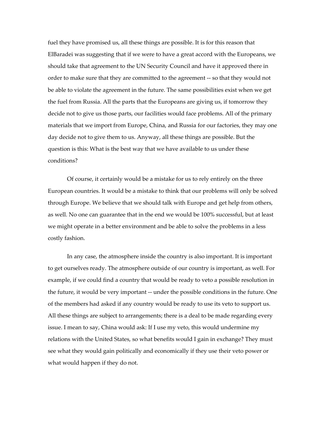fuel they have promised us, all these things are possible. It is for this reason that ElBaradei was suggesting that if we were to have a great accord with the Europeans, we should take that agreement to the UN Security Council and have it approved there in order to make sure that they are committed to the agreement ‐‐ so that they would not be able to violate the agreement in the future. The same possibilities exist when we get the fuel from Russia. All the parts that the Europeans are giving us, if tomorrow they decide not to give us those parts, our facilities would face problems. All of the primary materials that we import from Europe, China, and Russia for our factories, they may one day decide not to give them to us. Anyway, all these things are possible. But the question is this: What is the best way that we have available to us under these conditions?

Of course, it certainly would be a mistake for us to rely entirely on the three European countries. It would be a mistake to think that our problems will only be solved through Europe. We believe that we should talk with Europe and get help from others, as well. No one can guarantee that in the end we would be 100% successful, but at least we might operate in a better environment and be able to solve the problems in a less costly fashion.

In any case, the atmosphere inside the country is also important. It is important to get ourselves ready. The atmosphere outside of our country is important, as well. For example, if we could find a country that would be ready to veto a possible resolution in the future, it would be very important ‐‐ under the possible conditions in the future. One of the members had asked if any country would be ready to use its veto to support us. All these things are subject to arrangements; there is a deal to be made regarding every issue. I mean to say, China would ask: If I use my veto, this would undermine my relations with the United States, so what benefits would I gain in exchange? They must see what they would gain politically and economically if they use their veto power or what would happen if they do not.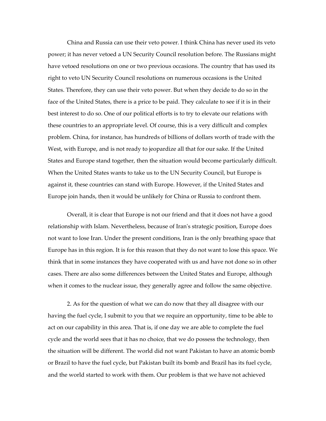China and Russia can use their veto power. I think China has never used its veto power; it has never vetoed a UN Security Council resolution before. The Russians might have vetoed resolutions on one or two previous occasions. The country that has used its right to veto UN Security Council resolutions on numerous occasions is the United States. Therefore, they can use their veto power. But when they decide to do so in the face of the United States, there is a price to be paid. They calculate to see if it is in their best interest to do so. One of our political efforts is to try to elevate our relations with these countries to an appropriate level. Of course, this is a very difficult and complex problem. China, for instance, has hundreds of billions of dollars worth of trade with the West, with Europe, and is not ready to jeopardize all that for our sake. If the United States and Europe stand together, then the situation would become particularly difficult. When the United States wants to take us to the UN Security Council, but Europe is against it, these countries can stand with Europe. However, if the United States and Europe join hands, then it would be unlikely for China or Russia to confront them.

Overall, it is clear that Europe is not our friend and that it does not have a good relationship with Islam. Nevertheless, because of Iranʹs strategic position, Europe does not want to lose Iran. Under the present conditions, Iran is the only breathing space that Europe has in this region. It is for this reason that they do not want to lose this space. We think that in some instances they have cooperated with us and have not done so in other cases. There are also some differences between the United States and Europe, although when it comes to the nuclear issue, they generally agree and follow the same objective.

2. As for the question of what we can do now that they all disagree with our having the fuel cycle, I submit to you that we require an opportunity, time to be able to act on our capability in this area. That is, if one day we are able to complete the fuel cycle and the world sees that it has no choice, that we do possess the technology, then the situation will be different. The world did not want Pakistan to have an atomic bomb or Brazil to have the fuel cycle, but Pakistan built its bomb and Brazil has its fuel cycle, and the world started to work with them. Our problem is that we have not achieved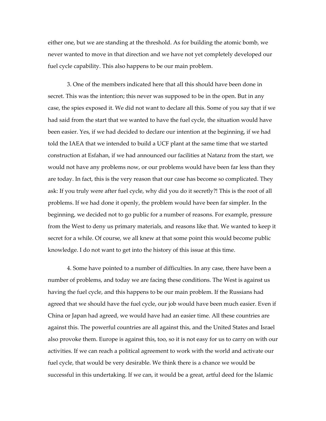either one, but we are standing at the threshold. As for building the atomic bomb, we never wanted to move in that direction and we have not yet completely developed our fuel cycle capability. This also happens to be our main problem.

3. One of the members indicated here that all this should have been done in secret. This was the intention; this never was supposed to be in the open. But in any case, the spies exposed it. We did not want to declare all this. Some of you say that if we had said from the start that we wanted to have the fuel cycle, the situation would have been easier. Yes, if we had decided to declare our intention at the beginning, if we had told the IAEA that we intended to build a UCF plant at the same time that we started construction at Esfahan, if we had announced our facilities at Natanz from the start, we would not have any problems now, or our problems would have been far less than they are today. In fact, this is the very reason that our case has become so complicated. They ask: If you truly were after fuel cycle, why did you do it secretly?! This is the root of all problems. If we had done it openly, the problem would have been far simpler. In the beginning, we decided not to go public for a number of reasons. For example, pressure from the West to deny us primary materials, and reasons like that. We wanted to keep it secret for a while. Of course, we all knew at that some point this would become public knowledge. I do not want to get into the history of this issue at this time.

4. Some have pointed to a number of difficulties. In any case, there have been a number of problems, and today we are facing these conditions. The West is against us having the fuel cycle, and this happens to be our main problem. If the Russians had agreed that we should have the fuel cycle, our job would have been much easier. Even if China or Japan had agreed, we would have had an easier time. All these countries are against this. The powerful countries are all against this, and the United States and Israel also provoke them. Europe is against this, too, so it is not easy for us to carry on with our activities. If we can reach a political agreement to work with the world and activate our fuel cycle, that would be very desirable. We think there is a chance we would be successful in this undertaking. If we can, it would be a great, artful deed for the Islamic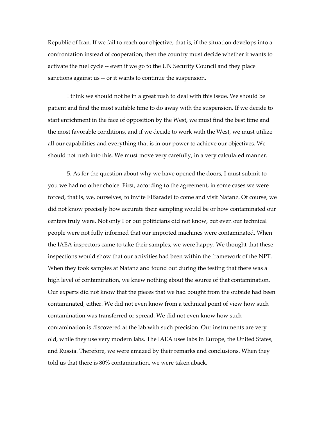Republic of Iran. If we fail to reach our objective, that is, if the situation develops into a confrontation instead of cooperation, then the country must decide whether it wants to activate the fuel cycle ‐‐ even if we go to the UN Security Council and they place sanctions against us -- or it wants to continue the suspension.

I think we should not be in a great rush to deal with this issue. We should be patient and find the most suitable time to do away with the suspension. If we decide to start enrichment in the face of opposition by the West, we must find the best time and the most favorable conditions, and if we decide to work with the West, we must utilize all our capabilities and everything that is in our power to achieve our objectives. We should not rush into this. We must move very carefully, in a very calculated manner.

5. As for the question about why we have opened the doors, I must submit to you we had no other choice. First, according to the agreement, in some cases we were forced, that is, we, ourselves, to invite ElBaradei to come and visit Natanz. Of course, we did not know precisely how accurate their sampling would be or how contaminated our centers truly were. Not only I or our politicians did not know, but even our technical people were not fully informed that our imported machines were contaminated. When the IAEA inspectors came to take their samples, we were happy. We thought that these inspections would show that our activities had been within the framework of the NPT. When they took samples at Natanz and found out during the testing that there was a high level of contamination, we knew nothing about the source of that contamination. Our experts did not know that the pieces that we had bought from the outside had been contaminated, either. We did not even know from a technical point of view how such contamination was transferred or spread. We did not even know how such contamination is discovered at the lab with such precision. Our instruments are very old, while they use very modern labs. The IAEA uses labs in Europe, the United States, and Russia. Therefore, we were amazed by their remarks and conclusions. When they told us that there is 80% contamination, we were taken aback.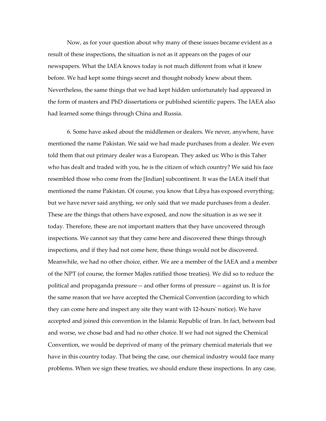Now, as for your question about why many of these issues became evident as a result of these inspections, the situation is not as it appears on the pages of our newspapers. What the IAEA knows today is not much different from what it knew before. We had kept some things secret and thought nobody knew about them. Nevertheless, the same things that we had kept hidden unfortunately had appeared in the form of masters and PhD dissertations or published scientific papers. The IAEA also had learned some things through China and Russia.

6. Some have asked about the middlemen or dealers. We never, anywhere, have mentioned the name Pakistan. We said we had made purchases from a dealer. We even told them that out primary dealer was a European. They asked us: Who is this Taher who has dealt and traded with you, he is the citizen of which country? We said his face resembled those who come from the [Indian] subcontinent. It was the IAEA itself that mentioned the name Pakistan. Of course, you know that Libya has exposed everything; but we have never said anything, we only said that we made purchases from a dealer. These are the things that others have exposed, and now the situation is as we see it today. Therefore, these are not important matters that they have uncovered through inspections. We cannot say that they came here and discovered these things through inspections, and if they had not come here, these things would not be discovered. Meanwhile, we had no other choice, either. We are a member of the IAEA and a member of the NPT (of course, the former Majles ratified those treaties). We did so to reduce the political and propaganda pressure ‐‐ and other forms of pressure ‐‐ against us. It is for the same reason that we have accepted the Chemical Convention (according to which they can come here and inspect any site they want with 12‐hoursʹ notice). We have accepted and joined this convention in the Islamic Republic of Iran. In fact, between bad and worse, we chose bad and had no other choice. If we had not signed the Chemical Convention, we would be deprived of many of the primary chemical materials that we have in this country today. That being the case, our chemical industry would face many problems. When we sign these treaties, we should endure these inspections. In any case,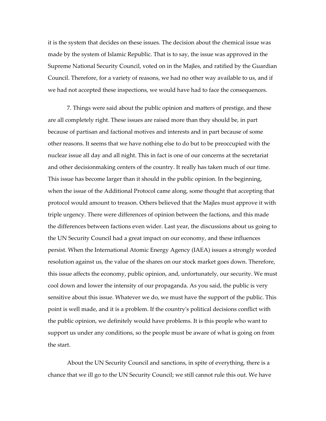it is the system that decides on these issues. The decision about the chemical issue was made by the system of Islamic Republic. That is to say, the issue was approved in the Supreme National Security Council, voted on in the Majles, and ratified by the Guardian Council. Therefore, for a variety of reasons, we had no other way available to us, and if we had not accepted these inspections, we would have had to face the consequences.

7. Things were said about the public opinion and matters of prestige, and these are all completely right. These issues are raised more than they should be, in part because of partisan and factional motives and interests and in part because of some other reasons. It seems that we have nothing else to do but to be preoccupied with the nuclear issue all day and all night. This in fact is one of our concerns at the secretariat and other decisionmaking centers of the country. It really has taken much of our time. This issue has become larger than it should in the public opinion. In the beginning, when the issue of the Additional Protocol came along, some thought that accepting that protocol would amount to treason. Others believed that the Majles must approve it with triple urgency. There were differences of opinion between the factions, and this made the differences between factions even wider. Last year, the discussions about us going to the UN Security Council had a great impact on our economy, and these influences persist. When the International Atomic Energy Agency (IAEA) issues a strongly worded resolution against us, the value of the shares on our stock market goes down. Therefore, this issue affects the economy, public opinion, and, unfortunately, our security. We must cool down and lower the intensity of our propaganda. As you said, the public is very sensitive about this issue. Whatever we do, we must have the support of the public. This point is well made, and it is a problem. If the countryʹs political decisions conflict with the public opinion, we definitely would have problems. It is this people who want to support us under any conditions, so the people must be aware of what is going on from the start.

About the UN Security Council and sanctions, in spite of everything, there is a chance that we ill go to the UN Security Council; we still cannot rule this out. We have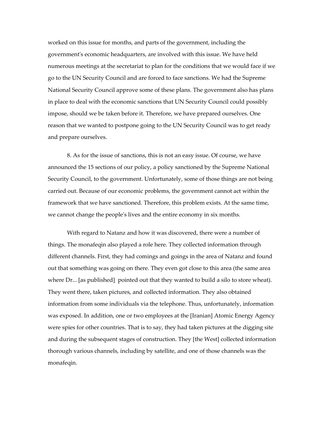worked on this issue for months, and parts of the government, including the governmentʹs economic headquarters, are involved with this issue. We have held numerous meetings at the secretariat to plan for the conditions that we would face if we go to the UN Security Council and are forced to face sanctions. We had the Supreme National Security Council approve some of these plans. The government also has plans in place to deal with the economic sanctions that UN Security Council could possibly impose, should we be taken before it. Therefore, we have prepared ourselves. One reason that we wanted to postpone going to the UN Security Council was to get ready and prepare ourselves.

8. As for the issue of sanctions, this is not an easy issue. Of course, we have announced the 15 sections of our policy, a policy sanctioned by the Supreme National Security Council, to the government. Unfortunately, some of those things are not being carried out. Because of our economic problems, the government cannot act within the framework that we have sanctioned. Therefore, this problem exists. At the same time, we cannot change the peopleʹs lives and the entire economy in six months.

With regard to Natanz and how it was discovered, there were a number of things. The monafeqin also played a role here. They collected information through different channels. First, they had comings and goings in the area of Natanz and found out that something was going on there. They even got close to this area (the same area where Dr... [as published] pointed out that they wanted to build a silo to store wheat). They went there, taken pictures, and collected information. They also obtained information from some individuals via the telephone. Thus, unfortunately, information was exposed. In addition, one or two employees at the [Iranian] Atomic Energy Agency were spies for other countries. That is to say, they had taken pictures at the digging site and during the subsequent stages of construction. They [the West] collected information thorough various channels, including by satellite, and one of those channels was the monafeqin.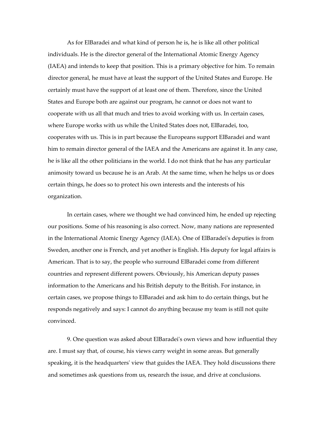As for ElBaradei and what kind of person he is, he is like all other political individuals. He is the director general of the International Atomic Energy Agency (IAEA) and intends to keep that position. This is a primary objective for him. To remain director general, he must have at least the support of the United States and Europe. He certainly must have the support of at least one of them. Therefore, since the United States and Europe both are against our program, he cannot or does not want to cooperate with us all that much and tries to avoid working with us. In certain cases, where Europe works with us while the United States does not, ElBaradei, too, cooperates with us. This is in part because the Europeans support ElBaradei and want him to remain director general of the IAEA and the Americans are against it. In any case, he is like all the other politicians in the world. I do not think that he has any particular animosity toward us because he is an Arab. At the same time, when he helps us or does certain things, he does so to protect his own interests and the interests of his organization.

In certain cases, where we thought we had convinced him, he ended up rejecting our positions. Some of his reasoning is also correct. Now, many nations are represented in the International Atomic Energy Agency (IAEA). One of ElBaradeiʹs deputies is from Sweden, another one is French, and yet another is English. His deputy for legal affairs is American. That is to say, the people who surround ElBaradei come from different countries and represent different powers. Obviously, his American deputy passes information to the Americans and his British deputy to the British. For instance, in certain cases, we propose things to ElBaradei and ask him to do certain things, but he responds negatively and says: I cannot do anything because my team is still not quite convinced.

9. One question was asked about ElBaradeiʹs own views and how influential they are. I must say that, of course, his views carry weight in some areas. But generally speaking, it is the headquarters' view that guides the IAEA. They hold discussions there and sometimes ask questions from us, research the issue, and drive at conclusions.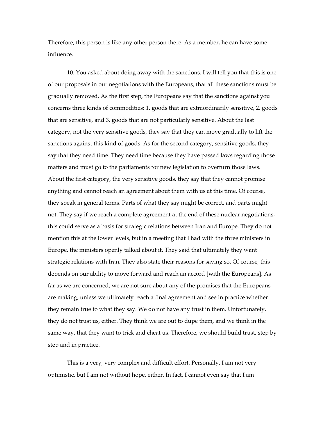Therefore, this person is like any other person there. As a member, he can have some influence.

10. You asked about doing away with the sanctions. I will tell you that this is one of our proposals in our negotiations with the Europeans, that all these sanctions must be gradually removed. As the first step, the Europeans say that the sanctions against you concerns three kinds of commodities: 1. goods that are extraordinarily sensitive, 2. goods that are sensitive, and 3. goods that are not particularly sensitive. About the last category, not the very sensitive goods, they say that they can move gradually to lift the sanctions against this kind of goods. As for the second category, sensitive goods, they say that they need time. They need time because they have passed laws regarding those matters and must go to the parliaments for new legislation to overturn those laws. About the first category, the very sensitive goods, they say that they cannot promise anything and cannot reach an agreement about them with us at this time. Of course, they speak in general terms. Parts of what they say might be correct, and parts might not. They say if we reach a complete agreement at the end of these nuclear negotiations, this could serve as a basis for strategic relations between Iran and Europe. They do not mention this at the lower levels, but in a meeting that I had with the three ministers in Europe, the ministers openly talked about it. They said that ultimately they want strategic relations with Iran. They also state their reasons for saying so. Of course, this depends on our ability to move forward and reach an accord [with the Europeans]. As far as we are concerned, we are not sure about any of the promises that the Europeans are making, unless we ultimately reach a final agreement and see in practice whether they remain true to what they say. We do not have any trust in them. Unfortunately, they do not trust us, either. They think we are out to dupe them, and we think in the same way, that they want to trick and cheat us. Therefore, we should build trust, step by step and in practice.

This is a very, very complex and difficult effort. Personally, I am not very optimistic, but I am not without hope, either. In fact, I cannot even say that I am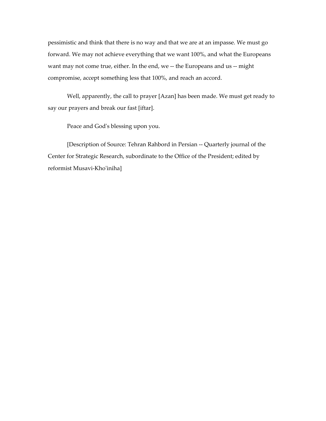pessimistic and think that there is no way and that we are at an impasse. We must go forward. We may not achieve everything that we want 100%, and what the Europeans want may not come true, either. In the end, we -- the Europeans and us -- might compromise, accept something less that 100%, and reach an accord.

Well, apparently, the call to prayer [Azan] has been made. We must get ready to say our prayers and break our fast [iftar].

Peace and God's blessing upon you.

[Description of Source: Tehran Rahbord in Persian ‐‐ Quarterly journal of the Center for Strategic Research, subordinate to the Office of the President; edited by reformist Musavi‐Khoʹiniha]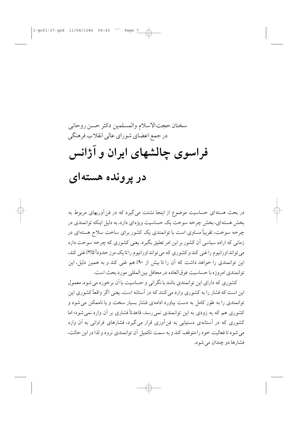$\begin{vmatrix} 1-\text{gof1-37.qxd} & 11/08/1384 & 09:43 & \text{``} & \text{Page 7} \end{vmatrix}$  $\oplus$ 

## سخنان حجت الاسلام والمسلمين دكتر حسن روحاني در جمع اعضاي شوراي عالي انقلاب فرهنگي فراسوی چالشهای ایران و آژانس در پرونده هستهای

در بحث هستهای حساسیت موضوع از اینجا نشئت میگیرد که در فن اَوریهای مربوط به بخش هسته اي، بخش چرخه سوخت يک حساسيت ويژهاي دارد. به دليل اينکه توانمندي در چرخه سوخت، تقریباً مساوی است با توانمندی یک کشور برای ساخت سلاح هستهای در زمانی که اراده سیاسی آن کشور بر این امر تعلیق بگیرد. یعنی کشوری که چرخه سوخت دارد می تواند اورانیوم را غنی کند و کشوری که می تواند اورانیوم را تا یک مرز حدوداً ۳/۵٪ غنی کند، این توانمندی را خواهد داشت که آن را تا بیش از ۹۰٪ هم غنی کند و به همین دلیل، این توانمندي امروزه با حساسيت فوق العاده در محافل بين المللي مورد بحث است.

کشوری که دارای این توانمندی باشد با نگرانی و حساسیت با آن بر خورد می شود. معمول این است که فشار را به کشوری وارد می کنند که در آستانه است. یعنی اگر واقعاً کشوری این توانمندی را به طور کامل به دست بیاورد ادامهی فشار بسیار سخت و یا ناممکن می شود و کشوری هم که به زودی به این توانمندی نمی رسد، قاعدتاً فشاری بر آن وارد نمی شود؛ اما کشوری که در آستانهی دستیابی به فن اَوری قرار می گیرد، فشارهای فراوانی به اَن وارد می شود تا فعالیت خود را متوقف کند و به سمت تکمیل آن توانمندی نرود و لذا در این حالت، فشار ها دو چندان مے شود.

 $\oplus$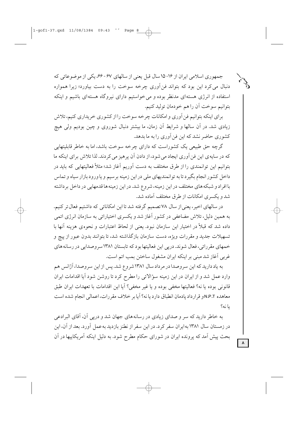جمهوري اسلامي ايران از ۱۶-۱۵ سال قبل يعني از سالهاي ۶۷-۶۶، يكي از موضوعاتي كه دنبال می کرد این بود که بتواند فن اَوری چرخه سوخت را به دست بیاورد؛ زیرا همواره استفاده از انرژی هستهای مدنظر بوده و می خواستیم دارای نیروگاه هستهای باشیم و اینکه بتوانيم سوخت آن را هم خودمان توليد كنيم.

برای اینکه بتوانیم فن اَوری و امکانات چرخه سوخت را از کشوری خریداری کنیم، تلاش زیادی شد. در آن سالها و شرایط آن زمان، ما بیشتر دنبال شوروی و چین بودیم ولی هیچ كشوري حاضر نشد كه اين فن آوري را به ما بدهد.

گرچه حق طبیعی یک کشوراست که دارای چرخه سوخت باشد، اما به خاطر قابلیتهایی که در سایه ی این فن آوری ایجاد می شود، از دادن آن یرهیز می کردند. لذا تلاش برای اینکه ما بتوانیم این توانمندی را از طرق مختلف به دست آوریم آغاز شد؛ مثلاً فعالیتهایی که باید در داخل کشور انجام بگیرد تا به توانمندیهای ملی در این زمینه برسیم و یا ورود بازار سیاه و تماس با افراد و شبکه های مختلف در این زمینه، شروع شد. در این زمینه ها قدمهایی در داخل برداشته شد و یکسری امکانات از طرق مختلف آماده شد.

در سالهای اخیر، یعنی از سال ۷۸ تصمیم گرفته شد تا این امکاناتی که داشتیم فعال تر کنیم. به همین دلیل، تلاش مضاعفی در کشور آغاز شد و یکسری اختیاراتی به سازمان انرژی اتمی داده شد که قبلاً در اختیار این سازمان نبود. یعنی از لحاظ اعتبارات و نحوه ی هزینه آنها با تسهیلات جدید و مقررات ویژه، دست سازمان بازگذاشته شد، تا بتوانند بدون عبور از پیچ و خمهای مقرراتی، فعال شوند. درپی این فعالیتها بود که تابستان ۱۳۸۱ سروصدایی در رسانه های غربی آغاز شد مبنی بر اینکه ایران مشغول ساختن بمب اتم است.

به ياد داريد كه اين سروصدا در مرداد سال ١٣٨١ شروع شد. پس از اين سروصدا، آژانس هم وارد عمل شد و از ایران در این زمینه سؤالاتی را مطرح کرد تا روشن شود آیا اقدامات ایران قانوني بوده يا نه؟ فعاليتها مخفى بوده و يا غير مخفى؟ آيا اين اقدامات با تعهدات ايران طبق معاهده N.P.Tو قرارداد يادمان انطباق دارد يا نه؟ أيا بر خلاف مقررات، اعمالي انجام شده است يا نه؟

به خاطر دارید که سر و صدای زیادی در رسانههای جهان شد و دریی آن، آقای البرادعی در زمستان سال ۱۳۸۱ به ایران سفر کرد. در این سفر از نطنز بازدید به عمل آورد. بعد از آن، این بحث پیش آمد که پرونده ایران در شورای حکام مطرح شود. به دلیل اینکه آمریکاییها در آن

 $\overline{\lambda}$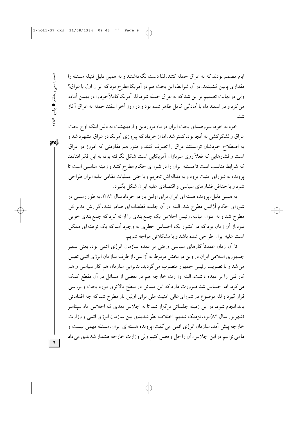1-gof1-37.qxd 11/08/1384 09:43

ایام مصمم بودند که به عراق حمله کنند، لذا دست نگهداشتند و به همین دلیل فتیله مسئله را مقداری پایین کشیدند. در آن شرایط، این بحث هم در آمریکا مطرح بود که ایران اول یا عراق؟ ولی در نهایت تصمیم بر این شد که به عراق حمله شود. لذا اَمریکا کاملاًخود را در بهمن اَماده می کرد و در اسفند ماه با آمادگی کامل ظاهر شده بود و در روز آخر اسفند حمله به عراق آغاز شد.

خو د به خو د، سروصدای بحث ایران در ماه فروردین و اردیبهشت به دلیل اینکه اوج بحث عراق و لشکر کشی به آنجا بود، کمتر شد. اما از خرداد که پیروزی آمریکا در عراق مشهود شد و به اصطلاح خودشان توانستند عراق را تصرف کنند و هنوز هم مقاومتی که امروز در عراق است و فشارهایی که فعلاً روی سربازان آمریکایی است شکل نگرفته بود، به این فکر افتادند که شرایط مناسب است تا مسئله ایران را در شورای حکام مطرح کنند و زمینه مناسبی است تا پرونده به شوراي امنيت برودو به دنباله اش تحريم و يا حتى عمليات نظامي عليه ايران طراحي شود و یا حداقل فشارهای سیاسی و اقتصادی علیه ایران شکل بگیرد.

به همین دلیل، پرونده هستهای ایران برای اولین بار در خرداد سال ۱۳۸۲، به طور رسمی در شورای حکام آژانس مطرح شد. البته در آن جلسه قطعنامهای صادر نشد، گزارش مدیر کل مطرح شد و به عنوان بیانیه، رئیس اجلاس یک جمع بندی را ارائه کرد که جمع بندی خوبی نبود.از آن زمان بود که در کشور یک احساس خطری به وجود آمد که یک توطئهای ممکن است عليه ايران طراحي شده باشد وبا مشكلاتي مواجه شويم.

تا اَن زمان عمدتاً کارهای سیاسی و فنی بر عهده سازمان انرژی اتمی بود. یعنی سفیر جمهوري اسلامي ايران در وين در بخش مربوط به اَژانس، از طرف سازمان انرژي اتمي تعيين مي شد و با تصويب رئيس جمهور منصوب مي گرديد. بنابراين سازمان هم كار سياسي و هم کار فنی را بر عهده داشت. البته وزارت خارجه هم در بعضی از مسائل در آن مقطع کمک می کرد. اما احساس شد ضرورت دارد که این مسائل در سطح بالاتری مورد بحث و بررسی قرار گیرد و لذا موضوع در شورای عالمی امنیت ملی برای اولین بار مطرح شد که چه اقداماتی باید انجام شود. در این زمینه جلساتی برگزار شد تا به اجلاس بعدی که اجلاس ماه سپتامبر (شهریو ر سال ۸۲)بود، نزدیک شدیم. اختلاف نظر شدیدی بین سازمان انرژی اتمی و وزارت خارجه پیش آمد. سازمان انرژی اتمی می گفت: پرونده هستهای ایران، مسئله مهمی نیست و ما می توانیم در این اجلاس، اَن را حل و فصل کنیم ولی وزارت خارجه هشدار شدیدی می داد

观

شماره سی و هفتم ● یاییز

**IXXY**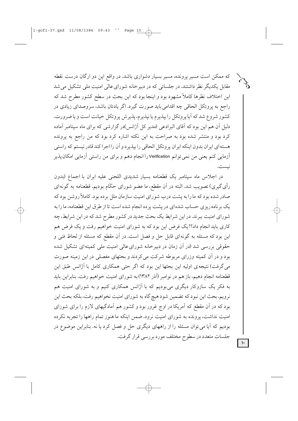1-gof1-37.qxd 11/08/1384 09:43 Page 10

> که ممکن است مسیر پرونده، مسیر بسیار دشواری باشد. در واقع این دو ارگان درست نقطه مقابل یکدیگر نظر داشتند. در جلساتی که در دبیرخانه شورای عالی امنیت ملی تشکیل می شد این اختلاف نظرها کاملاً مشهود بود و اینجا بود که این بحث در سطح کشور مطرح شد که راجع به پروتکل الحاقی چه اقدامی باید صورت گیرد. اگر یادتان باشد، سروصدای زیادی در كشور شروع شد كه آيا پروتكل را بيذيرم يا نيذيرم، يذير ش پروتكل خيانت است و يا ضرورت. دلیل آن هم این بود که آقای البرادعی (مدیر کل آژانس)در گزارشی که برای ماه سپتامبر آماده کرد بود و منتشر شده بود به صراحت به این نکته اشاره کرد بود که من راجع به پرونده هستهاى ايران بدون اينكه ايران يروتكل الحاقي رابيذيرد و أن رااجراكند قادر نيستم كه راستي اًزمایی کنم یعنی من نمی توانم Verification را انجام دهم و برای من راستی اَزمایی امکان پذیر نست.

در اجلاس ماه سپتامبر یک قطعنامه بسیار شدیدی اللحنی علیه ایران با اجماع (بدون رأي گيري) تصويب شد. البته در آن مقطع، ما عضو شوراي حكّام بوديم. قطعنامه به گونهاي صادر شده بود که ما را به پشت درب شورای امنیت سازمان ملل برده بود. کاملاً روشن بود که یک برنامه ریزی حساب شدهای در پشت پرده انجام شده است تا از طرق این قطعنامه، ما را به شورای امنیت ببرند. در این شرایط یک بحث جدید در کشور مطرح شد که در این شرایط، چه کاری باید انجام داد؟! یک فرض این بود که به شورای امنیت خواهیم رفت و یک فرض هم این بود که مسئله به گونهای قابل حل و فصل است. در آن مقطع که مسئله از لحاظ فنی و حقوقی بررسی شد (در آن زمان در دبیرخانه شورای عالی امنیت ملی کمیتهای تشکیل شده بود و در آن کمیته وزرای مربوطه شرکت می کردند و بحثهای مفصلی در این زمینه صورت می گرفت) نتیجه ی اولیه این بحثها این بود که اگر حتی همکاری کامل با آژانس طبق این قطعنامه انجام دهیم، باز هم در نوامبر (أذر ١٣٨٢) به شورای امنیت خواهیم رفت. بنابراین باید به فکر یک سازوکار دیگری می بودیم که با آژانس همکاری کنیم و به شورای امنیت هم نرويم. بحث اين نبود كه تضمين شود هيچ گاه به شوراي امنيت نخواهيم رفت، بلكه بحث اين بود که در آن مقطع که آمریکا در اوج غرور بود و کشور هم آمادگیهای لازم را برای شورای امنیت نداشت، برونده به شورای امنیت نرود. ضمن اینکه ما هنوز تمام راهها را تجربه نکرده بودیم که آیا می توان مسئله را از راههای دیگری حل و فصل کرد یا نه. بنابراین موضوع در جلسات متعدد در سطوح مختلف مورد بررسي قرار گرفت.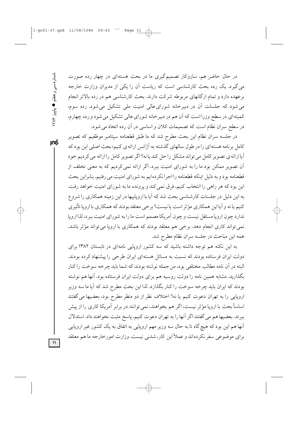1-gof1-37.qxd 11/08/1384 09:43 Page 11

> در حال حاضر هم، سازوکار تصمیمگیری ما در بحث هستهای در چهار رده صورت می گیرد. یک رده بحث کارشناسی است که ریاست آن را یکی از مدیران وزارت خارجه برعهده دارد و تمام ارگانهای مربوطه شرکت دارند. بحث کارشناسی هم در رده بالاتر انجام می شود که جلسات آن در دبیرخانه شورای عالی امنیت ملی تشکیل می شود. رده سوم، کمیتهای در سطح وزرااست که آن هم در دبیرخانه شورای عالی تشکیل می شود و رده چهارم، در سطح سران نظام است که تصمیمات کلان و اساسی در آن رده اتخاذ می شود.

观

شماره سی و هفتم ● یاییز ۱۳۸۴

در جلسه سران نظام این بحث مطرح شد که ما طبق قطعنامه سپتامبر موظفیم که تصویر کامل بر نامه هسته ای را در طول سالهای گذشته به آژانس ارائه ی کنیم؛ بحث اصلی این بو د که آیا ارائه ی تصویر کامل می تواند مشکل را حل کند یا نه؟ اگر تصویر کامل را ارائه می کردیم خود آن تصویر ممکن بود ما را به شورای امنیت ببرد. اگر ارائه نمی کردیم که به معنی تخلف از قطعنامه بود و به دلیل اینکه قطعنامه را اجرا نکرده ایم به شورای امنیت می رفتیم. بنابراین بحث این بود که هر راهی را انتخاب کنیم، فرق نمی کند و پرونده ما به شورای امنیت خواهد رفت. به این دلیل در جلسات کارشناسی بحث شد که آیا با اروپاییها در این زمینه همکاری را شروع کنیم یا نه و آیا این همکاری مؤثر است یا نیست؟ برخی معتقد بودند که همکاری با اروپا تأثیری ندارد چون اروپا مستقل نیست و چون آمریکا مصمم است ما را به شورای امنیت ببرد، لذا اروپا نمي تواند كاري انجام دهد. برخي هم معتقد بودند كه همكاري با ارويا مي تواند مؤثر باشد. همه این مباحث در جلسه سران نظام مطرح شد.

به این نکته هم توجه داشته باشید که سه کشور اروپایی نامهای در تابستان ۱۳۸۲ برای دولت ایران فرستاده بودند که نسبت به مسائل هستهای ایران طرحی را پیشنهاد کرده بودند. البته در آن نامه مطالب مختلفي بود، من جمله نوشته بودند كه شما بايد چرخه سوخت را كنار بگذارید. مشابه همین نامه را دولت روسیه هم برای دولت ایران فرستاده بود. آنها هم نوشته بودند که ایران باید چرخه سوخت را کنار بگذارد. لذا این بحث مطرح شد که آیا ما سه وزیر اروپایی را به تهران دعوت کنیم یا نه؟ اختلاف نظر از دو منظر مطرح بود، بعضیها می گفتند اساساً بحث با اروپا مؤثر نیست، اگر هم بخواهند، نمی توانند در برابر اَمریکا کاری را از پیش ببرند. بعضيها هم مي گفتند اگر آنها را به تهران دعوت كنيم، پاسخ مثبت نخواهند داد. استدلال اّنها هم این بود که هیچ گاه تا به حال سه وزیر مهم اروپایی به اتفاق به یک کشور غیر اروپایی برای موضوعی سفر نکردهاند و عملاً این کار، شدنی نیست. وزارت امورخارجه ما هم معتقد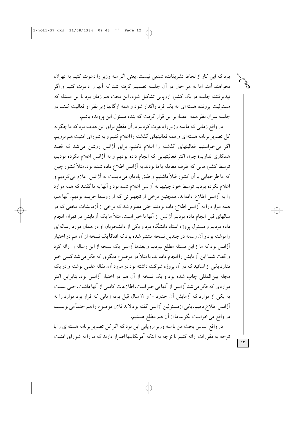بود كه اين كار از لحاظ تشريفات، شدني نيست. يعني اگر سه وزير را دعوت كنيم به تهران، نخواهند آمد. اما به هر حال در آن جلسه تصمیم گرفته شد که آنها را دعوت کنیم و اگر نیذیرفتند، جلسه در یک کشور اروپایی تشکیل شود. این بحث هم زمان بود با این مسئله که مسئولیت پرونده هستهای به یک فرد واگذار شود و همه ارگانها زیر نظر او فعالیت کنند. در جلسه سران نظر همه اعضا، بر این قرار گرفت که بنده مسئول این پرونده باشم.

در واقع زمانی که ما سه وزیر را دعوت کردیم درآن مقطع برای این هدف بود که ماچگونه کل تصویر برنامه هستهای و همه فعالیتهای گذشته را اعلام کنیم و به شورای امنیت هم نرویم. اگر می خواستیم فعالیتهای گذشته را اعلام نکنیم، برای آژانس روشن می شد که قصد همکاری نداریم؛ چون اکثر فعالیتهایی که انجام داده بودیم و به آژانس اعلام نکرده بودیم، توسط کشورهایی که طرف معامله با ما بودند به آژانس اطلاع داده شده بود. مثلاً کشور چین که ما طرحهایی با آن کشور قبلاً داشتیم و طبق پادمان می بایست به آژانس اعلام می کردیم و اعلام نکرده بودیم توسط خود چینیها به آژانس اعلام شده بود و آنها به ما گفتند که همه موارد را به آژانس اطلاع دادهاند. همچنین برخی از تجهیزاتی که از روسها خریده بودیم، آنها هم، همه موارد را به آژانس اطلاع داده بودند. حتى معلوم شد كه برخي از آزمايشات مخفى كه در سالهای قبل انجام داده بودیم اَژانس از اَنها با خبر است. مثلاً ما یک اَزمایش در تهران انجام داده بودیم و مسئول پروژه استاد دانشگاه بود و یکی از دانشجویان او در همان مورد رسالهای را نوشته بود و آن رساله در چندین نسخه منتشر شده بود که اتفاقاً یک نسخه از آن هم در اختیار آژانس بود که ما از این مسئله مطلع نبودیم و بعدها آژانس یک نسخه از این رساله را ارائه کرد و گفت شما این آزمایش را انجام داده اید. یا مثلاً در موضوع دیگری که فکر می شد کسی خبر ندارد یکی از اساتید که در آن پروژه شرکت داشته بود در مورد آن، مقاله علمی نوشته و در یک مجله بین|لمللی چاپ شده بود و یک نسخه از آن هم در اختیار آژانس بود. بنابراین اکثر مواردي كه فكر مي شد آژانس از آنها بي خبر است، اطلاعات كاملي از آنها داشت. حتى نسبت به یکی از موارد که آزمایش آن حدود ۱۰ و ۱۲ سال قبل بود، زمانی که قرار بود موارد را به أژانس اطلاع دهیم، یکی ازمسئولین أژانس گفته بود لابدّفلان موضوع راهم حتمأمی نویسید، در واقع مي خواست بگويد ما از آن هم مطلع هستيم.

در واقع اساس بحث من با سه وزير اروپايي اين بود كه اگر كل تصوير برنامه هستهاي را با توجه به مقررات ارائه کنیم با توجه به اینکه آمریکاییها اصرار دارند که ما را به شورای امنیت

 $\mathcal{N}$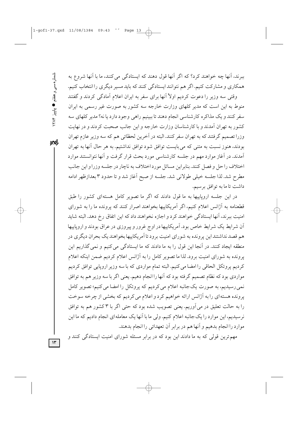1-gof1-37.qxd 11/08/1384 09:43 Page 13

> ببرند، اّنها چه خواهند کرد؟ که اگر اّنها قول دهند که ایستادگی می کنند، ما با اّنها شروع به همکاری و مشارکت کنیم. اگر هم نتوانند ایستادگی کنند که باید مسیر دیگری را انتخاب کنیم.

وقتی سه وزیر را دعوت کردیم اولاً آنها برای سفر به ایران اعلام آمادگی کردند و گفتند منوط به این است که مدیر کلهای وزارت خارجه سه کشور به صورت غیر رسمی به ایران سفر کنند و یک مذاکره کارشناسی انجام دهند تا ببینیم راهی وجود دارد یا نه؟ مدیر کلهای سه کشور به تهران آمدند و با کارشناسان وزارت خارجه و این جانب صحبت کردند و در نهایت وزرا تصميم گرفتند كه به تهران سفر كنند. البته در آخرين لحظاتي هم كه سه وزير عازم تهران بو دند، هنوز نسبت به متنی که می بایست توافق شود توافق نداشتیم. به هر حال آنها به تهران آمدند. در آغاز موارد مهم در جلسه کارشناسی مورد بحث قرار گرفت و آنها نتوانستند موارد اختلاف راحل و فصل كنند. بنابراين مسائل مورد اختلاف به ناچار در جلسه وزرا و اين جانب مطرح شد. لذا جلسه خيلي طولاني شد. جلسه از صبح آغاز شد و تا حدود ٣ بعدازظهر ادامه داشت تا ما به توافق برسیم.

در این جلسه اروپاییها به ما قول دادند که اگر ما تصویر کامل هستهای کشور را طبق قطعنامه به آژانس اعلام کنیم، اگر آمریکاییها بخواهند اصرار کنند که پرونده ما را به شورای امنیت ببرند، آنها ایستادگی خواهند کرد و اجازه نخواهند داد که این اتفاق رخ دهد. البته شاید آن شرایط یک شرایط خاص بود. اَمریکاییها در اوج غرور و پیروزی در عراق بودند و اروپاییها هم قصد نداشتند این پرونده به شورای امنیت برود تا اَمریکاییها بخواهند یک بحران دیگری در منطقه ایجاد کنند. در اَنجا این قول را به ما دادند که ما ایستادگی می کنیم و نمی گذاریم این پرونده به شورای امنیت برود. لذا ما تصویر کامل را به آژانس اعلام کردیم ضمن اینکه اعلام كرديم يروتكل الحاقي را امضا مي كنيم. البته تمام مواردي كه با سه وزير ارويايي توافق كرديم مواردي بود كه نظام تصميم گرفته بود كه آنها را انجام دهيم. يعني اگر با سه وزير هم به توافق نمی رسیدیم، به صورت یک جانبه اعلام می کردیم که پروتکل را امضا می کنیم؛ تصویر کامل پرونده هستهای را به آژانس ارائه خواهیم کرد و اعلام می کردیم که بخشی از چرخه سوخت را به حالت تعلیق در می آوریم. یعنی تصویب شده بود که حتی اگر با ۳کشور هم به توافق نرسیدیم، این موارد را یک جانبه اعلام کنیم. ولی ما با آنها یک معامله ای انجام دادیم که ما این موارد را انجام بدهيم و أنها هم در برابر أن تعهداتي را انجام بدهند.

观

شماره سی و هفتم ● یاییز

**IXXX** 

مهم ترین قولی که به ما دادند این بود که در برابر مسئله شورای امنیت ایستادگی کنند و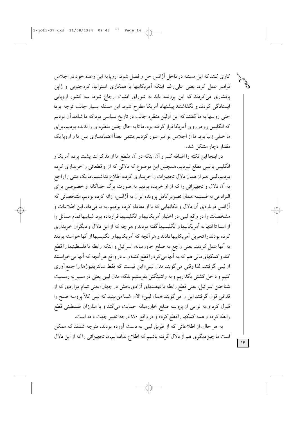1-gof1-37.qxd  $11/08/1384$  09:43 "" Page 14

> كاري كنند كه اين مسئله در داخل آژانس حل و فصل شود. اروپا به اين وعده خود در اجلاس نوامبر عمل کرد. یعنی علی رغم اینکه آمریکاییها با همکاری استرالیا، کره جنوبی و ژاپن پافشاری می کردند که این پرونده باید به شورای امنیت ارجاع شود، سه کشور اروپایی ایستادگی کردند و نگذاشتند پیشنهاد آمریکا مطرح شود. این مسئله بسیار جالب توجه بود؛ حتبی روسها به ما گفتند که این اولین منظره جالب در تاریخ سیاسی بود که ما شاهد آن بودیم که انگلیس رو در روی آمریکا قرار گرفته بود. ما تا به حال چنین منظرهای را ندیده بودیم، برای ما خیلی زیبا بود. ما از اجلاس نوامبر عبور کردیم منتهی بعداً اعتمادسازی بین ما و اروپا یک مقدار دچار مشکل شد.

در اينجا اين نكته را اضافه كنم و آن اينكه در آن مقطع ما از مذاكرات پشت پرده آمريكا و انگلیس بالیبی مطلع نبودیم. همچنین این موضوع که دلالی که از او قطعاتی را خریداری کرده بودیم، لیبی هم از همان دلال تجهیزات را خریداری کرده، اطلاع نداشتیم. ما یک متنی را راجع به آن دلال و تجهیزاتی را که از او خریده بودیم به صورت برگ جداگانه و خصوصی برای البرادعي به ضميمه همان تصوير كامل پرونده ايران به آژانس، ارائه كرده بوديم. مشخصاتي كه آژانس درباره ی آن دلال و مکانهایی که با او معامله کرده بودیم، به ما می داد، این اطلاعات و مشخصات را در واقع ليبي در اختيار آمريكاييها و انگليسيها قرارداده بود. ليباييها تمام مسائل را از ابتدا تا انتها به آمريكاييها و انگليسيها گفته بودند و هر چه كه از اين دلال و ديگران خريداري كرده بودند را تحويل أمريكاييها دادند و هر أنچه كه أمريكاييها و انگليسيها از أنها خواسته بودند به أنها عمل كردند. يعني راجع به صلح خاورميانه، اسرائيل و اينكه رابطه با فلسطينيها را قطع کند و کمکهای مالی هم که به آنها می کرد را قطع کند؛ و ... در واقع هر آنچه که آنها می خواستند از ليبي گرفتند. لذا وقتي مي گويند مدل ليبي؛ اين نيست كه فقط سانتريفيوژها را جمع آوري کنیم و داخل کشتی بگذاریم و به واشینگتن بفرستیم بلکه، مدل لیبی یعنی در مسیر به رسمیت شناختن اسرائیل، یعنی قطع رابطه با نهضتهای آزادی بخش در جهان؛ یعنی تمام مواردی که از قذافی قول گرفتند این را می گویند «مدل لیبی» الان شما می بینید که لیبی کلاً پروسه صلح را قبول کرد و به نوعی از پروسه صلح خاورمیانه حمایت می کند و با مبارزان فلسطینی قطع رابطه كرده و همه كمكها را قطع كرده و در واقع ۱۸۰ درجه تغيير جهت داده است. به هر حال، از اطلاعاتی که از طریق لیبی به دست آورده بودند، متوجه شدند که ممکن

است ما چیز دیگری هم از دلال گرفته باشیم که اطلاع ندادهایم. ما تجهیزاتی را که از این دلال

 $\overline{Y}$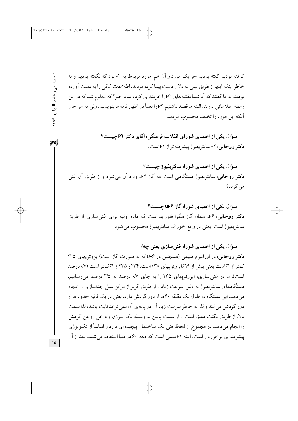گرفته بودیم گفته بودیم جز یک مورد و اَن هم، مورد مربوط به P۲ بود که نگفته بودیم و به ثماره سی و هفتم ● یاییز خاطر اينكه اينها از طريق ليبي به دلال دست پيداكرده بودند، اطلاعات كافي رابه دست آورده بودند. به ما گفتند که آیا شما نقشه های P۲را خریداری کرده اید یا خیر ؟ که معلوم شد که در این رابطه اطلاعاتي دارند، البته ما قصد داشتيم P۲را بعداً در اظهار نامه ها بنويسيم. ولي به هر حال آنکه این مورد را تخلف محسوب کردند.

> سؤال یکی از اعضای شورای انقلاب فرهنگی: اَقای دکتر P۲ چیست؟ دكتر روحاني: P۲سانتريفيوژييشرفته تر از P۱است.

سؤال یکی از اعضای شورا. سانتریفیوژ چیست؟ **دکتر روحانی**: سانتریفیوژ دستگاهی است که گاز UF۶ وارد آن می شود و از طریق آن غنی می گر دد؟

سؤال یکی از اعضای شورا: گاز UF۶ چیست؟ **دکتر روحانی:** UF۶ همان گاز هگزا فلوراید است که ماده اولیه برای غنی سازی از طریق سانتريفيوژ است. يعني در واقع خوراک سانتريفيوژ محسوب مي شود.

سؤال یکی از اعضای شورا: غنی سازی یعنی چه؟ دکتر روحانی: در اورانیوم طبیعی (همچنین در UF۶ که به صورت گاز است) ایزوتوپهای ۲۳۵ كمتر از ۱٪است يعني بيش از ۹۹٪ايزوتويهاي ۱۲۳۸است. ۲۳۴ و ۲۳۵از ۱٪ كمتر است (۰/۷ درصد است). ما در غنی سازی، ایزوتوپهای ۲۳۵ را به جای ۰/۷ درصد به ۳/۵ درصد می رسانیم. دستگاههای سانتریفیوژ به دلیل سرعت زیاد و از طریق گریز از مرکز عمل جداسازی را انجام می دهد. این دستگاه در طول یک دقیقه ۶۰هزار دور گردش دارد. یعنی در یک ثانیه حدود هزار دور گردش می کند و لذا به خاطر سرعت زیاد آن دو پایه ی آن نمی تواند ثابت باشد، لذا سمت بالا، از طریق مگنت معلق است و از سمت پایین به وسیله یک سوزن و داخل روغن گردش را انجام می دهد. در مجموع از لحاظ فنی یک ساختمان پیچیدهای دارد و اساساً از تکنولوژی پیشرفتهای برخوردار است. البته P۱ نسلی است که دهه ۶۰در دنیا استفاده می شده، بعد از آن

观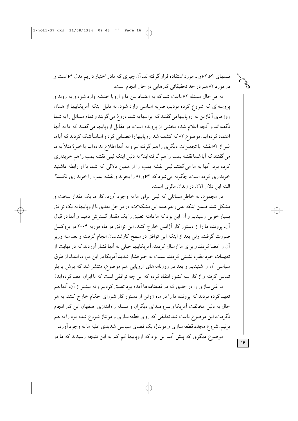نسلهای P۱، P۱و… مورد استفاده قرار گرفتهاند. آن چیزی که مادر اختیار داریم مدل P۱است و در مورد P۲هم در حد تحقیقاتی کارهایی در حال انجام است.

به هر حال مسئله P۲ باعث شد که به اعتماد بین ما و اروپا خدشه وارد شود و به روند و یروسهای که شروع کرده بودیم، ضربه اساسی وارد شود. به دلیل اینکه آمریکاییها از همان روزهای آغازین به اروپاییها می گفتند که ایرانیها به شما دروغ می گویند و تمام مسائل را به شما نگفته اند و آنچه اعلام شده بخشی از پرونده است، در مقابل اروپاییها می گفتند که ما به آنها اعتماد کرده ایم. موضوع P۲ که کشف شد اروپاییها را عصبانی کرد و اساساً شک کردند که آیا ما غیر از P۲ نقشه یا تجهیزات دیگری را هم گرفته|یم و به آنها اطلاع نداده|یم یا خیر؟ مثلاً به ما می گفتند که آیا شما نقشه بمب را هم گرفته اید؟ به دلیل اینکه لیبی نقشه بمب را هم خریداری کرده بود. آنها به ما می گفتند لیبی نقشه بمب را از همین دلالی که شما با او رابطه داشتید خریداری کرده است. چگونه می شود که P۲ و P۱ را بخرید و نقشه بمب را خریداری نکنید؟! البته این دلال الان در زندان مالزی است.

در مجموع، به خاطر مسائلی که لیبی برای ما به وجود آورد، کار ما یک مقدار سخت و مشکل شد. ضمن اینکه علی رغم همه این مشکلات، در مراحل بعدی با اروپاییها به یک توافق بسیار خوبی رسیدیم و آن این بود که ما دامنه تعلیق را یک مقدار گسترش دهیم و آنها در قبال آن، پرونده ما را از دستور کار آژانس خارج کنند. این توافق در ماه فوریه ۲۰۰۴ در بروکسل صورت گرفت. ولی بعد از اینکه این توافق در سطح کارشناسان انجام گرفت و بعد سه وزیر آن را امضا کر دند و برای ما ارسال کر دند، آمریکاییها خیلی به آنها فشار آوردند که در نهایت از تعهدات خود عقب نشینی کردند. نسبت به خبر فشار شدید آمریکا در این مورد، ابتداء از طرق سیاسی آن را شنیدیم و بعد در روزنامههای اروپایی هم موضوع، منتشر شد که بوش با بلر تماس گرفته و از کار سه کشور انتقاد کرده که این چه توافقی است که با ایران امضا کرده اید؟ ما غنی سازی را در حدی که در قطعنامهها آمده بود تعلیق کردیم و نه بیشتر از آن، آنها هم تعهد کرده بودند که پرونده ما را در ماه ژوئن از دستور کار شورای حکام خارج کنند. به هر حال به دلیل مخالفت آمریکا و سروصدای دیگران و مسئله راهاندازی اصفهان این کار انجام نگرفت. این موضوع باعث شد تعلیقی که روی قطعه سازی و مونتاژ شروع شده بود را به هم بزنیم. شروع مجدد قطعه سازی و مونتاژ، یک فضای سیاسی شدیدی علیه ما به وجود آورد. موضوع دیگری که پیش آمد این بود که اروپاییها کم کم به این نتیجه رسیدند که ما در

١۶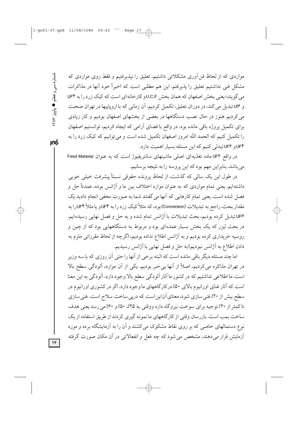1-gof1-37.qxd 11/08/1384 09:43 Page 17

> مواردی که از لحاظ فن اَوری مشکلاتی داشتیم، تعلیق را نیذیرفتیم و فقط روی مواردی که مشکل فنی نداشتیم تعلیق را پذیرفتم. این هم مطلبی است که اخیراً خود آنها در مذاکرات می گویند؛ یعنی بخش اصفهان که همان بخش C.F.لاو کارخانه ای است که کیک زرد را به UF۴ و Uf۶ تبدیل می کند، در دوران تعلیق، تکمیل کردیم. اَن زمانی که با اروپاییها در تهران صحبت می کردیم هنوز در حال نصب دستگاهها در بعضی از بخشهای اصفهان بودیم و کار زیادی برای تکمیل پروژه باقی مانده بود. در واقع با فضای آرامی که ایجاد کردیم، توانستیم اصفهان را تکمیل کنیم که الحمد اللّه امروز اصفهان تکمیل شده است و می توانیم که کیک زرد را به UF۴ و UF۶ تبدلی کنیم که این مسئله بسیار اهمیت دارد.

در واقع UF۶ ماده تغذیه ای اصلی ماشینهای سانتریفیوژ است که به عنوان Feed Material مي باشد. بنابراين مهم بود كه اين يروسه را به نتيجه برسانيم.

در طول این یک سالبی که گذشت، از لحاظ پرونده حقوقی نسبتاً پیشرفت خیلبی خوبی داشتهایم. یعنی تمام مواردی که به عنوان موارد اختلاف بین ما و آژانس بوده، عمدتاً حل و فصل شده است. یعنی تمام کارهایی که آنها می گفتند شما به صورت مخفی انجام دادید یک مقدار بحث، راجع به تبدیلات (Conversion)بود، که مثلاً کیک زرد را به UF۴ و یا مثلاً UF۴ را به UF۶ تبدیل کرده بودیم، بحث تبدیلات با آژانس تمام شده و به حل و فصل نهایی رسیدهایم. در بحث لیزر که یک بخش بسیار عمدهای بود و مربوط به دستگاههایی بود که از چین و روسیه خریداری کرده بودیم و به آژانس اطلاع نداده بودیم، (گرچه از لحاظ مقرراتی ملزم به دادن اطلاع به آژانس نبودیم)به حل و فصل نهایی با آژانس رسیدیم.

اما چند مسئله دیگر باقی مانده است که البته برخی از آنها را حتی آن روزی که با سه وزیر در تهران مذاکره می کردیم، اصلاً از آنها بی خبر بودیم. یکی از آن موارد، آلودگی سطح بالا است. ما اطلاعی نداشتیم که در کشور ما آثار آلودگی سطح بالا وجود دارد. آلودگی به این معنا است که آثار غنای اورانیوم بالای ۵۰٪درکارگاههای ما وجود دارد. اگر در کشوری اورانیوم در سطح بیش از ۲۰٪غنی سازی شود، معنای آناین است که درپی ساخت سلاح است. غنی سازی تاکمتر از ۲۰٪ توجیه برای سوخت نیروگاه دارد ووقتی به ۲۵٪، ۵۰٪ و ۶۰٪ می رسد یعنی هدف ساخت بمب است. بازرسان وقتی از کارگاههای ما نمونه گیری کردند از طریق استفاده از یک نوع دستمالهای خاصی که بر روی نقاط مشکوک می کشند و آن را به آزمایشگاه برده و مورد آزمایش قرار می دهند، مشخص می شود که چه فعل و انفعالاتی در آن مکان صورت گرفته

观

شماره سي و هفتم ، پاييز ۲۸۴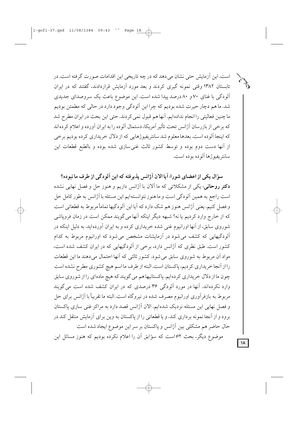1-gof1-37.qxd  $11/08/1384$  09:43 "" Page 18

> است. این آزمایش حتی نشان میدهد که در چه تاریخی این اقدامات صورت گرفته است. در تابستان ۱۳۸۲ وقتی نمونه گیری کردند و بعد مورد آزمایش قراردادند، گفتند که در ایران آلودگی با غنای ۷۰ و ۸۰درصد پیدا شده است. این موضوع باعث یک سروصدای جدیدی شد. ما هم دچار حيرت شده بوديم كه چرا اين آلودگي وجود دارد در حالي كه مطمئن بوديم ما چنین فعالیتی را انجام نداده ایم. آنها هم قبول نمی کردند. حتی این بحث در ایران مطرح شد كه برخي از بازرسان آژانس تحت تأثير آمريكا، دستمال آلوده را به ايران آورده و اعلام كردهاند که اینجا اَلوده است. بعدها معلوم شد سانتریفیوژهایی که از دلال خریداری کرده بودیم برخی از أنها دست دوم بوده و توسط كشور ثالث غنى سازى شده بوده و بالطبع قطعات اين سانتر بفيو ژها آلو ده يو ده است.

سؤال یکی از اعضای شورا: آیا الان آژانس پذیرفته که این آلودگی از طرف ما نبوده؟ **دکتر روحانی:** یکی از مشکلاتی که ما اَلان با اَژانس داریم و هنوز حل و فصل نهایی نشده است راجع به همین آلودگی است و ما هنوز نتوانستهایم این مسئله با آژانس به طور کامل حل و فصل کنیم. یعنی اَژانس هنوز هم شک دارد که اَیا این اَلودگیها تماماً مربوط به قطعاتی است که از خارج وارد کردیم یا نه؟ شبهه دیگر اینکه آنها می گویند ممکن است در زمان فرویاشی شوروی سابق، از آنها اورانیوم غنی شده خریداری کرده و به ایران آورده اید. به دلیل اینکه در آلودگیهایی که کشف می شود در آزمایشات مشخص می شود که اورانیوم مربوط به کدام کشور است. طبق نظری که آژانس دارد، برخی از آلودگیهایی که در ایران کشف شده است، مواد اَن مربوط به شوروي سابق مي شود. كشور ثالثي كه اَنها احتمال مي دهند ما اين قطعات را از آنجا خریداری کردیم، پاکستان است. البته از طرف ما اسم هیچ کشوری مطرح نشده است چون ما از دلال خریداری کرده ایم. پاکستانیها هم می گویند که هیچ ماده ای را از شوروی سابق وارد نکرده اند. آنها در مورد آلودگی ۳۶ درصدی که در ایران کشف شده است می گویند مربوط به بازفرآوری اورانیوم مصرف شده در نیروگاه است. البته ما تقریباً با آژانس برای حل و فصل نهایی این مسئله نزدیک شدهایم. الان آژانس قصد دارد به مراکز غنی سازی پاکستان برود و از آنجا نمونه برداری کند. و یا قطعاتی را از پاکستان به وین برای آزمایش منتقل کند در حال حاضر هم مشكلي بين أژانس و ياكستان بر سر اين موضوع ايجاد شده است

موضوع دیگر، بحث P۲ است که سؤابق اَن را اعلام نکرده بودیم که هنوز مسائل این

١٨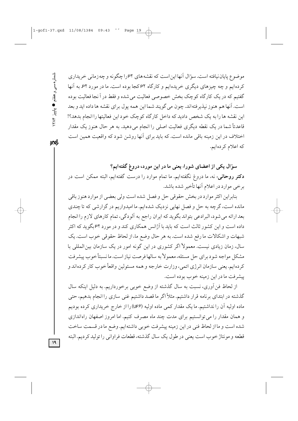1-gof1-37.qxd 11/08/1384 09:43 Page 19

> موضوع پایان نیافته است. سؤال آنها این است که نقشه های P۲را چگونه و چه زمانی خریداری کرده ایم و چه چیزهای دیگری خریده ایم و کارگاه P۲ کجا بوده است. ما در مورد P۲. به آنها گفتیم که در یک کارگاه کوچک بخش خصوصی فعالیت می شده و فقط در اَ نجا فعالیت بوده است. آنها هم هنوز نيذيرفته اند. چون مي گويند شما اين همه يول براي نقشه ها داده ايد و بعد این نقشه ها را به یک شخص دادید که داخل کارگاه کوچک خود این فعالیتها را انجام بدهد؟! قاعدتاً شما در یک نقطه دیگری فعالیت اصلی را انجام می۵دهید. به هر حال هنوز یک مقدار اختلاف در این زمینه باقی مانده است. که باید برای آنها روشن شود که واقعیت همین است كه اعلام كردهايم.

> > سؤال یکی از اعضای شورا: یعنی ما در این مورد، دروغ گفتهایم؟

**دکتر روحانی**: نه، ما دروغ نگفته|یم. ما تمام موارد را درست گفته|یم، البته ممکن است در برخی موارد در اعلام آنها تأخیر شده باشد.

بنابراین اکثر موارد در بخش حقوقی حل و فصل شده است ولی بعضی از موارد هنوز باقی مانده است، گرچه به حل و فصل نهایی نزدیک شدهایم. ما امیدواریم در گزارشی که تا چندی بعد ارائه مي شود، البرادعي بتواند بگويد كه ايران راجع به آلودگي، تمام كارهاي لازم را انجام داده است و این کشور ثالث است که باید با آژانس همکاری کند و در مورد P۲بگوید که اکثر شبهات و اشکالات ما رفع شده است. به هر حال وضع ما، از لحاظ حقوقی خوب است. یک سال، زمان زیادی نیست. معمولاً اگر کشوری در این گونه امور در یک سازمان بین|لمللی با مشکل مواجه شود براي حل مسئله، معمولاً به سالها فرصت نياز است. ما نسبتاً خوب پيشرفت كرده ايم. يعني سازمان انرژي اتمي، وزارت خارجه و همه مسئولين واقعاً خوب كار كرده اند و پیشرفت ما در این زمینه خوب بوده است.

از لحاظ فن اَوري، نسبت به سال گذشته از وضع خوبي برخورداريم. به دليل اينكه سال گذشته در ابتدای برنامه قرار داشتیم. مثلاً اگر ما قصد داشتیم غنی سازی را انجام بدهیم، حتی ماده اولیه اّن را نداشتیم. ما یک مقدار کمی ماده اولیه (UF۶) را از خارج خریداری کرده بودیم و همان مقدار را می توانستیم برای مدت چند ماه مصرف کنیم. اما امروز اصفهان راهاندازی شده است و ما از لحاظ فنی در این زمینه پیشرفت خوبی داشته ایم. وضع ما در قسمت ساخت قطعه و مونتاژ خوب است يعني در طول يک سال گذشته، قطعات فراواني را توليد كرديم. البته

 $x_1$ 

شماره سی و هفتم یا پاییز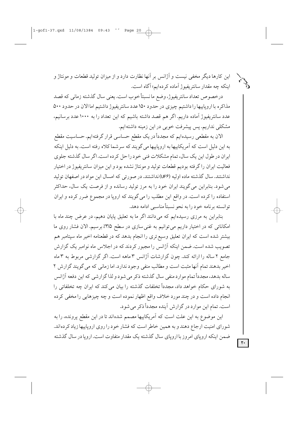این کارها دیگر مخفی نیست و آژانس بر آنها نظارت دارد و از میزان تولید قطعات و مونتاژ و اینکه چه مقدار سانتریفیوژ آماده کرده ایم؛ آگاه است.

درخصوص تعداد سانتريفيوژ، وضع ما نسبتاً خوب است. يعني سال گذشته زماني كه قصد مذاکره با اروپاییها را داشتیم چیزی در حدود ۱۵۰ عدد سانتریفیوژ داشتیم اما الان در حدود ۵۰۰ عدد سانتریفیوژ آماده داریم. اگر هم قصد داشته باشیم که این تعداد را به ۱۰۰۰ عدد برسانیم، مشکلی نداریم. پس پیشرفت خوبی در این زمینه داشته ایم.

الان به مقطعی رسیدهایم که مجدداً در یک مقطع حساسی قرار گرفتهایم. حساسیت مقطع به این دلیل است که آمریکاییها به اروپاییها می گویند که سرشما کلاه رفته است. به دلیل اینکه ایران در طول این یک سال، تمام مشکلات فنی خود را حل کر ده است. اگر سال گذشته جلوی فعاليت ايران راگرفته بوديم قطعات توليد و مونتاژ نشده بود و اين ميزان سانتريفيوژ در اختيار نداشتند. سال گذشته ماده اولیه (UF۶)نداشتند. در صورتی که امسال این مواد در اصفهان تولید می شود. بنابراین می گویند ایران خود را به مرز تولید رسانده و از فرصت یک سال، حداکثر استفاده را كرده است. در واقع اين مطلب را مي گويند كه اروپا در مجموع ضرر كرده و ايران توانسته برنامه خود را به نحو نسبتاً مناسبی ادامه دهد.

بنابراین به مرزی رسیدهایم که می دانند اگر ما به تعلیق پایان دهیم، در عرض چند ماه با امکاناتی که در اختیار داریم می توانیم به غنی سازی در سطح ۳/۵٪ برسیم. الان فشار روی ما بیشتر شده است که ایران تعلیق وسیع تری را انجام بدهد که در قطعنامه اخیر ماه سپتامبر هم تصویب شده است. ضمن اینکه آژانس را مجبور کردند که در اجلاس ماه نوامبر یک گزارش جامع ۲ ساله را ارائه کند. چون گزارشات آژانس ۳ ماهه است. اگر گزارشی مربوط به ۳ ماه اخیر بدهند تمام أنها مثبت است و مطالب منفی وجود ندارد. اما زمانی که می گویند گزارش ۲ ساله بدهد، مجدداً تمام موارد منفي سال گذشته ذكر مي شود و لذا گزارشي كه اين دفعه آژانس به شورای حکام خواهد داد، مجدداً تخلفات گذشته را بیان می کند که ایران چه تخلفاتی را انجام داده است و در چند مورد خلاف واقع اظهار نموده است و چه چیزهایی را مخفی کرده است. تمام این موارد در گزارش آینده مجدداً ذکر می شود.

این موضوع به این علت است که آمریکاییها مصمم شدهاند تا در این مقطع پرونده، را به شورای امنیت ارجاع دهند و به همین خاطر است که فشار خود را روی اروپاییها زیاد کر ده اند. ضمن اینکه اروپای امروز با اروپای سال گذشته یک مقدار متفاوت است. اروپا در سال گذشته

 $\overline{\mathbf{r}}$ .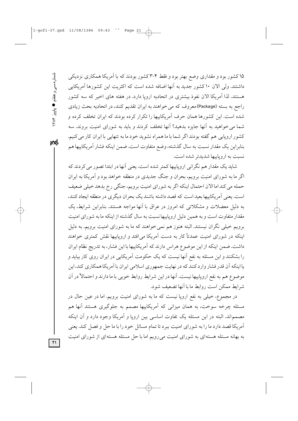1-gof1-37.qxd 11/08/1384 09:43 Page  $21$ 

> ۱۵ کشور بود و مقداری وضع بهتر بود و فقط ۳-۳ کشور بودند که با آمریکا همکاری نزدیکی داشتند. ولي الان ١٠ كشور جديد به آنها اضافه شده است كه اكثريت اين كشورها آمريكايي هستند. لذا آمریکا الان نفوذ بیشتری در اتحادیه ارویا دارد. در هفته های اخیر که سه کشور راجع به بسته (Package)معروف كه مي خواهند به ايران تقديم كنند، در اتحاديه بحث زيادي شده است. این کشورها همان حرف آمریکاییها را تکرار کرده بودند که ایران تخلف کرده و شما می خواهید به آنها جایزه بدهید؟ آنها تخلف کردند و باید به شورای امنیت بروند. سه کشور اروپایی هم گفته بودند اگر شما با ما همراه نشوید خود ما به تنهایی با ایران کار می کنیم. بنابراین یک مقدار نسبت به سال گذشته، وضع متفاوت است. ضمن اینکه فشار آمریکاییها هم نسبت به اروپاییها شدیدتر شده است.

شاید یک مقدار هم نگرانی اروپاییها کمتر شده است. یعنی آنها در ابتدا تصور می کردند که اگر ما به شورای امنیت برویم، بحران و جنگ جدیدی در منطقه خواهد بود و آمریکا به ایران حمله می کند اما الان احتمال اینکه اگر به شورای امنیت برویم، جنگی رخ بدهد خیلی ضعیف است. یعنی اَمریکاییها بعید است که قصد داشته باشند یک بحران دیگری در منطقه ایجاد کنند، به دلیل معضلات و مشکلاتی که امروز در عراق با آنها مواجه هستند. بنابراین شرایط، یک مقدار متفاوت است و به همین دلیل اروپاییها نسبت به سال گذشته از اینکه ما به شورای امنیت برویم خیلی نگران نیستند. البته هنوز هم نمی خواهند که ما به شورای امنیت برویم. به دلیل اینکه در شورای امنیت عمدتاً کار به دست آمریکا می افتد و اروپاییها نقش کمتری خواهند داشت. ضمن اینکه از این موضوع هراس دارند که آمریکاییها با این فشار، به تدریج نظام ایران را بشکنند و این مسئله به نفع آنها نیست که یک حکومت آمریکایی در ایران روی کار بیاید و یا اینکه اَن قدر فشار وارد کنند که در نهایت جمهوری اسلامی ایران با اَمریکا همکاری کند، این موضوع هم به نفع اروپاییها نیست. آنها در این شرایط روابط خوبی با ما دارند و احتمالاً در آن شرايط ممكن است روابط ما با آنها تضعيف شود.

در مجموع، خیلی به نفع اروپا نیست که ما به شورای امنیت برویم. اما در عین حال در مسئله چرخه سوخت، به همان میزانی که آمریکاییها مصمم به جلوگیری هستند آنها هم مصمم|ند. البته در این مسئله یک تفاوت اساسی بین اروپا و آمریکا وجود دارد و آن اینکه آمریکا قصد دارد ما را به شورای امنیت ببرد تا تمام مسائل خود را با ما حل و فصل کند. یعنی به بهانه مسئله هستهای به شورای امنیت می رویم اما با حل مسئله هستهای از شورای امنیت

观

شماره سي و هفتم ، پاييز ۲۸۴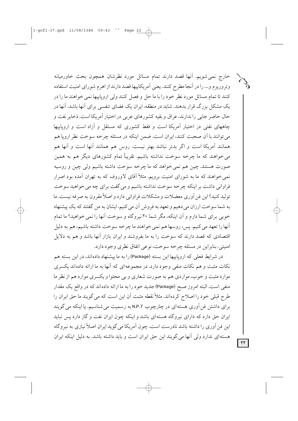1-gof1-37.qxd 11/08/1384 09:43

خارج نمي شويم. آنها قصد دارند تمام مسائل مورد نظرشان همچون بحث خاورميانه وتروريزم و… را در أنجا مطرح كنند. يعني أمريكاييها قصد دارند از اهرم شوراي امنيت استفاده كنند تا تمام مسائل مورد نظر خود را با ما حل و فصل كنند ولي اروپاييها نمي خواهند ما را در یک مشکل بزرگ قرار بدهند. شاید در منطقه، ایران یک فضای تنفسی برای آنها باشد. آنها در حال حاضر جایی را ندارند، عراق و بقیه کشورهای عربی در اختیار آمریکا است. ذخایر نفت و چاههای نفتی در اختیار آمریکا است و فقط کشوری که مستقل و آزاد است و اروپاییها می توانند با آن صحبت کنند، ایران است. ضمن اینکه در مسئله چرخه سوخت نظر اروپا هم همانند آمریکا است و اگر بدتر نباشد بهتر نیست. روس هم همانند آنها است و آنها هم می خواهند که ما چرخه سوخت نداشته باشیم. تقریباً تمام کشورهای دیگر هم به همین صورت هستند. چین هم نمی خواهد که ما چرخه سوخت داشته باشیم ولی چین و روسیه نمی خواهند که ما به شورای امنیت برویم. مثلاً اَقای لاوروف که به تهران آمده بود اصرار فراوانی داشت بر اینکه چرخه سوخت نداشته باشیم و می گفت برای چه می خواهید سوخت تولید کنید؟ این فن اَوری معضلات و مشکلات فراوانی دارد و اصلاً مقرون به صرفه نیست. ما به شما سوخت ارزان می دهیم و تعهد به فروش آن می کنیم. ایشان به من گفتند که یک پیشنهاد خوبی برای شما دارم و آن اینکه، مگر شما ۲۰ نیروگاه و سوخت آنها را نمی خواهید؟ ما تمام أنها را تعهد مي كنيم. پس، روسها هم نمي خواهند ما چرخه سوخت داشته باشيم، هم به دليل اقتصادی که قصد دارند که سوخت را به ما بفروشند و ایران بازار آنها باشد و هم به دلایل امنيتي. بنابراين در مسئله چرخه سوخت، نوعي اتفاق نظري وجود دارد.

در شرایط فعلی که اروپاییها این بسته (Package) را به ما پیشنهاد دادهاند، در این بسته هم نکات مثبت و هم نکات منفی وجود دارد. در مجموعهای که آنها به ما ارائه دادهاند یکسری موارد مثبت و خوب، مواردي هم به صورت شعاري و بي محتوا و يكسري موارد هم از نظر ما منفی است. البته امروز صبح (Package) جدید خود را به ما ارائه داده اند که در واقع یک مقدار طرح قبلی خود را اصلاح کرده اند. مثلاً نقطه مثبت آن این است که می گویند ما حق ایران را برای داشتن فن اَوری هستهای در چارچوب N.P.T به رسمیت می شناسیم. یا اینکه می گویند ایران حق دارد که دارای نیروگاه هستهای باشد و اینکه چون ایران نفت و گاز دارد پس نباید این فن آوری را داشته باشد نادرست است. چون آمریکا می گوید ایران اصلاً نیازی به نیروگاه هستهای ندارد ولی آنها می گویند این حق ایران است و باید داشته باشد. به دلیل اینکه ایران

 $\mathbf{r}$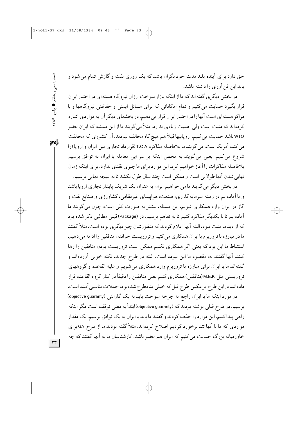حق دارد برای اَینده بلند مدت خود نگران باشد که یک روزی نفت و گازش تمام می شود و باید این فن آوری را داشته باشد.

در بخش دیگری گفته اند که ما از اینکه بازار سوخت ارزان نیروگاه هسته ای در اختیار ایران قرار بگیرد حمایت می کنیم و تمام امکاناتی که برای مسائل ایمنی و حفاظتی نیروگاهها و یا مراکز هستهای است آنها را در اختیار ایران قرار می دهیم. در بخشهای دیگر آن به مواردی اشاره کرده اند که مثبت است ولی اهمیت زیادی ندارد. مثلاً می گویند ما از این مسئله که ایران عضو WTO باشد حمایت می کنیم. اروپاییها قبلاً هم هیچ گاه مخالف نبودند، اَن کشوری که مخالفت می کند، آمریکا است. می گویند ما بلافاصله مذاکر ه T.C.A (قرارداد تجاری بین ایران و اروپا) را شروع می کنیم. یعنی می گویند به محض اینکه بر سر این معامله با ایران به توافق برسیم بلافاصله مذاکرات را آغاز خواهیم کرد. این موارد برای ما چیزی نقدی ندارد. برای اینکه زمان نهايي شدن أنها طولاني است و ممكن است چند سال طول بكشد تا به نتيجه نهايي برسيم.

در بخش دیگر می گویند ما می خواهیم ایران به عنوان یک شریک پایدار تجاری اروپا باشد و ما آماده ایم در زمینه سرمایه گذاری، صنعت، هواپیمای غیرنظامی، کشاورزی و صنایع نفت و گاز در ایران وارد همکاری شویم. این مسئله، بیشتر به صورت کلی است، چون می گویند ما آماده ایم تا با یکدیگر مذاکره کنیم تا به تفاهم برسیم. در (Package)قبلی مطالبی ذکر شده بود که از دید ما مثبت نبود، البته آنها اعلام کردند که منظورشان چیز دیگری بوده است. مثلاً گفتند ما در مبارزه با تروریزم با ایران همکاری می کنیم و تروریست خواندن منافقین را ادامه می دهیم. استنباط ما این بود که یعنی اگر همکاری نکنیم ممکن است تروریست بودن منافقین را رها كنند. آنها گفتند نه، مقصود ما اين نبوده است. البته در طرح جديد، نكته خوبي آوردهاند و گفته اند ما با ایران برای مبارزه با تروریزم وارد همکاری می شویم و علیه القاعده و گروههای تروریستی مثل M.E.K (منافقین)همکاری کنیم یعنی منافقین را دقیقاً در کنار گروه القاعده قرار داده اند. دراین طرح برعکس طرح قبل که خیلی بد مطرح شده بود، جملات مناسبی آمده است.

در مورد اینکه ما با ایران راجع به چرخه سوخت باید به یک گارانتی (objective guaranty) برسیم، در طرح قبلی نوشته بودند که (objective guaranty)ابتدأ به معنی توقف است مگر اینکه راهی پیدا کنیم. این موارد را حذف کر دند و گفتند ما باید با ایر ان به یک توافق بر سیم. یک مقدار مواردی که ما با آنها تند برخورد کردیم اصلاح کردهاند. مثلاً گفته بودند ما از طرح G۸ برای خاورمیانه بزرگ حمایت می کنیم که ایران هم عضو باشد. کارشناسان ما به آنها گفتند که چه

观

شماره سی و هفتم ● یاییز ۱۳۸۴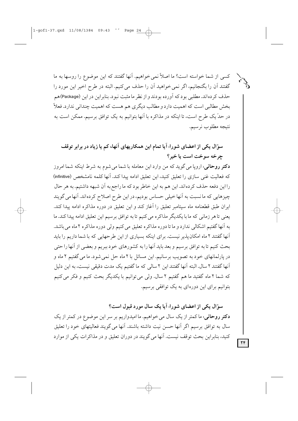کسی از شما خواسته است؟ ما اصلاً نمی خواهیم. آنها گفتند که این موضوع را روسها به ما گفتند آن را بگنجانیم، اگر نمی خواهید آن را حذف می کنیم. البته در طرح اخیر این مورد را حذف کر ده اند. مطلبی بو د که آورده بو دند و از نظر ما مثبت نبو د. بنابر این در این (Package) هم بخش مطالبي است كه اهميت دارد و مطالب ديگري هم هست كه اهميت چنداني ندارد. فعلاً در حدَّ یک طرح است، تا اینکه در مذاکره با اَنها بتوانیم به یک توافق برسیم. ممکن است به نتيجه مطلوب نرسيم.

سؤال یکی از اعضای شورا: آیا تمام این همکاریهای آنها، کم یا زیاد در برابر توقف چرخه سوخت است یا خیر؟

**دکتر روحانی:** اروپا می گوید که من وارد این معامله با شما می شوم به شرط اینکه شما امروز كه فعاليت غني سازي را تعليق كنيد، اين تعليق ادامه ييدا كند. آنها كلمه نامشخص (infinitive) را این دفعه حذف کرده اند. این هم به این خاطر بود که ما راجع به آن شبهه داشتیم. به هر حال چیزهایی که ما نسبت به آنها خیلی حساس بودیم، در این طرح اصلاح کردهاند. آنها می گویند ايران طبق قطعنامه ماه سيتامبر تعليق را آغاز كند و اين تعليق در دوره مذاكره ادامه ييدا كند. یعنی تا هر زمانی که ما با یکدیگر مذاکره می کنیم تا به توافق برسیم این تعلیق ادامه پیدا کند. ما به أنها گفتيم اشكالي ندارد و ما تا دوره مذاكره تعليق مي كنيم ولي دوره مذاكره ٢ماه مي باشد. آنها گفتند ۲ ماه امکان پذیر نیست. برای اینکه بسیاری از این طرحهایی که با شما داریم را باید بحث كنيم تابه توافق برسيم وبعدبايد أنها رابه كشورهاي خود ببريم وبعضى از أنها راحتى در پارلمانهای خود به تصویب برسانیم. این مسائل با ۲ ماه حل نمی شود. ما می گفتیم ۲ ماه و آنها گفتند ۲ سال. البته آنها گفتند این ۲ سالی که ما گفتیم یک مدت دقیقی نیست، به این دلیل که شما ۲ ماه گفتید ما هم گفتیم ۲ سال. ولی می توانیم با یکدیگر بحث کنیم و فکر می کنیم بتوانیم برای این دورهای به یک توافقی برسیم.

سؤال یکی از اعضای شورا: آیا یک سال مورد قبول است؟

٢۴

**دکتر روحانی**: ما کمتر از یک سال می خواهیم. ما امیدواریم بر سر این موضوع در کمتر از یک سال به توافق برسیم اگر آنها حسن نیت داشته باشند. آنها می گویند فعالیتهای خود را تعلیق کنید، بنابراین بحث توقف نیست. آنها می گویند در دوران تعلیق و در مذاکرات یکی از موارد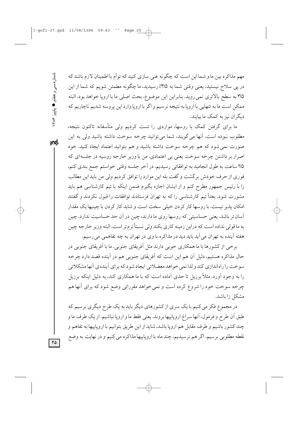1-gof1-37.qxd 11/08/1384 09:43

مهم مذاکره بین ما و شما این است که چگونه غنی سازی کنید که توأم با اطمینان لازم باشد که در پی سلاح نیستید. یعنی وقتی شما به ۳/۵٪ رسیدید، ما چگونه مطمئن شویم که شما از این ٣/٥ به سطح بالاترى نمى رويد. بنابراين اين موضوع، بحث اصلى ما با اروپا خواهد بود. البته ممکن است ما به تنهایی با اروپا به نتیجه نرسیم و اگر با اروپا وارد این پروسه شدیم ناچاریم که دیگران نیز به کمک ما بیابند.

ما برای گرفتن کمک با روسها، مواردی را تست کردیم ولی متأسفانه تاکنون نتیجه، مطلوب نبوده است. آنها مي گويند، شما مي توانيد چرخه سوخت داشته باشيد ولي به اين صورت نمی شود که هم چرخه سوخت داشته باشید و هم بتوانید اعتماد ایجاد کنید. خود اصرار بر داشتن چرخه سوخت یعنی بی اعتمادی. من با وزیر خارجه روسیه در جلسهای که 7⁄۵ ساعت به طول انجاميد به توافقاتي رسيديم. در آخر جلسه وقتي خواستم جمع بندي كنم، فوري از حرف خودش برگشت و گفت بله اين موارد را توافق كرديم ولي من بايد اين مطالب را با رئیس جمهور مطرح کنم و از ایشان اجازه بگیرم ضمن اینکه با تیم کارشناسی هم باید مشورت شود. بعداً تیم کارشناسی را که به تهران فرستادند توافقات را قبول نکردند و گفتند امکان پذیر نیست. با روسها کار کردن خیلی سخت است و شاید کار کردن با چینیها یک مقدار اّسان تر باشد. یعنی حساسیتی که روسها روی ما دارند، چین در اَن حد حساسیت ندارد. چین به ما قولي نداده است كه دراين زمينه كاري بكند ولي نسبتأنر متر است. البته وزير خارجه چين هفته اَينده به تهران مي اَيد بايد ديد در مذاكره با وي در تهران به چه تفاهمي مي رسيم.

برخی از کشورها با ما همکاری خوبی دارند مثل اَفریقای جنوبی. ما با اَفریقای جنوبی در حال مذاکره هستیم، دلیل آن هم این است که آفریقای جنوبی هم در آینده قصد دارد چرخه سوخت را راه اندازی کند و لذا نمی خواهد معضلاتی ایجاد شود که برای آینده ی آنها مشکلاتی را به وجود آورد. مثلاً برزیل تا حدی آماده است که با ما همکاری کند، به دلیل اینکه برزیل چرخه سوخت خود را شروع کرده است و نمی خواهد مقرراتی وضع شود که برای آنها هم مشكل زاباشد.

در مجموع فکر می کنیم با یک سری از کشورهای دیگر باید به یک طرح دیگری برسیم که طبق اَن طرح و فرمول، اَنها سراغ اروپاییها بروند. یعنی فقط ما و اروپا نباشیم. از یک طرف ما و چند کشور باشیم و طرف مقابل هم اروپا باشد. شاید از این طریق بتوانیم با اروپاییها به تفاهم و نقطه مطلوبی برسیم. اگر هم نرسیدیم، چند ماه با اروپاییها مذاکره می کنیم و در نهایت به وضع

观

٢۵

**IXXY** 

شماره سی و هفتم ● یاییز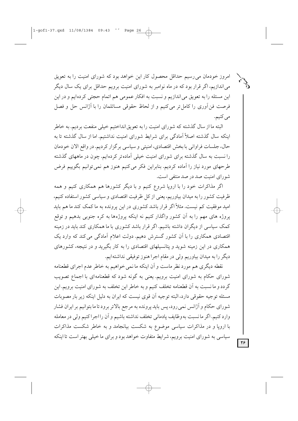امروز خودمان می رسیم حداقل محصول کار این خواهد بود که شورای امنیت را به تعویق می اندازیم، اگر قرار بود که در ماه نوامبر به شورای امنیت برویم حداقل برای یک سال دیگر اين مسئله را به تعويق مي اندازيم و نسبت به افكار عمومي هم اتمام حجتي كردهايم و در اين فرصت فن اَوری را کامل تر می کنیم و از لحاظ حقوقی مسائلمان را با اَژانس حل و فصل مي کنيم.

البته ما از سال گذشته که شورای امنیت را به تعویق۱نداختیم خیلی منفعت بردیم. به خاطر اینکه سال گذشته اصلاً آمادگی برای شرایط شورای امنیت نداشتیم. اما از سال گذشته تا به حال، جلسات فراوانی با بخش اقتصادی، امنیتی و سیاسی بر گزار کر دیم. در واقع الان خو دمان را نسبت به سال گذشته برای شورای امنیت خیلی آماده تر کردهایم. چون در ماههای گذشته طرحهای مورد نیاز را آماده کردیم. بنابراین فکر می کنیم هنوز هم نمی توانیم بگوییم فرض شورای امنیت صد در صد منتفی است.

اگر مذاکرات خود را با اروپا شروع کنیم و با دیگر کشورها هم همکاری کنیم و همه ظرفیت کشور را به میدان بیاوریم، یعنی از کل ظرفیت اقتصادی و سیاسی کشور استفاده کنیم، امید موفقیت کم نیست. مثلاً اگر قرار باشد کشوری در این پرونده به ما کمک کند ما هم باید پروژه های مهم را به آن کشور واگذار کنیم نه اینکه پروژهها به کره جنوبی بدهیم و توقع کمک سیاسی از دیگران داشته باشیم. اگر قرار باشد کشوری با ما همکاری کند باید در زمینه اقتصادی همکاری را با آن کشور گسترش دهیم. دولت اعلام آمادگی می کند که وارد یک همکاری در این زمینه شوید و پتانسیلهای اقتصادی را به کار بگیرید و در نتیجه، کشورهای ديگر را به ميدان بياوريم ولي در مقام اجرا هنوز توفيقي نداشته ايم.

نقطه دیگری هم مورد نظر ماست و آن اینکه ما نمی خواهیم به خاطر عدم اجرای قطعنامه شورای حکام به شورای امنیت برویم. یعنی به گونه شود که قطعنامهای با اجماع تصویب گردد و ما نسبت به آن قطعنامه تخلف کنیم و به خاطر این تخلف به شورای امنیت برویم. این مسئله توجیه حقوقی دارد، البته توجیه آن قوی نیست که ایران به دلیل اینکه زیر بار مصوبات شوراي حكام و أژانس نمي رود، پس بايد پرونده به مرجع بالاتر برود تا ما بتوانيم بر ايران فشار وارد كنيم. اگر مانسبت به وظايف يادماني تخلف نداشته باشيم و أن را اجرا كنيم ولي در معامله با اروپا و در مذاکرات سیاسی موضوع به شکست بیانجامد و به خاطر شکست مذاکرات سیاسی به شورای امنیت برویم، شرایط متفاوت خواهد بود و برای ما خیلی بهتر است تا اینکه

 $\overline{\mathbf{y}}$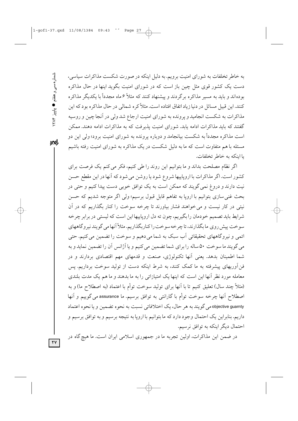1-gof1-37.qxd 11/08/1384 09:43 Page  $27$ 

> به خاطر تخلفات به شورای امنیت برویم. به دلیل اینکه در صورت شکست مذاکرات سیاسی، دست یک کشور قوی مثل چین باز است که در شورای امنیت بگوید اینها در حال مذاکره بوده اند و باید به مسیر مذاکره برگردند و پیشنهاد کنند که مثلاً ۶ ماه مجدداً با یکدیگر مذاکره کنند. این قبیل مسائل در دنیا زیاد اتفاق افتاده است. مثلاً کره شمالی در حال مذاکره بو د که این مذاکرات به شکست انجامید و پرونده به شورای امنیت ارجاع شد ولی در آنجا چین و روسیه گفتند که باید مذاکرات ادامه یابد. شورای امنیت پذیرفت که به مذاکرات ادامه دهند. ممکن است مذاکره مجدداً به شکست بیانجامد و دوباره پرونده به شورای امنیت برود؛ ولی این دو مسئله با هم متفاوت است که ما به دلیل شکست در یک مذاکره به شورای امنیت رفته باشیم با اینکه به خاط تخلفات.

اگر نظام مصلحت بداند و ما بتوانیم این روند را طی کنیم، فکر می کنم یک فرصت برای كشور است. اگر مذاكرات با اروپاييها شروع شود يا روشن مي شود كه آنها در اين مقطع حسن نیت دارند و دروغ نمی گویند که ممکن است به یک توافق خوبی دست پیدا کنیم و حتی در بحث غني سازي بتوانيم با اروپا به تفاهم قابل قبول برسيم؛ ولي اگر متوجه شديم كه حسن نیتی در کار نیست و می خواهند فشار بیاورند تا چرخه سوخت را کنار بگذاریم که در آن شرايط بايد تصميم خودمان را بگيريم، چون ته دل اروپاييها اين است كه ليستي در برابر چرخه سوخت پیش روی ما بگذارند، تا چر خه سوخت را کناربگذاریم. مثلاً اّنها می گویند نیر و گاههای اتمی و نیروگاههای تحقیقاتی آب سبک به شما می دهیم و سوخت را تضمین می کنیم. حتی می گویند ما سوخت ۵۰ ساله را برای شما تضمین می کنیم و یا آژانس آن را تضمین نماید و به شما اطمینان بدهد. یعنی آنها تکنولوژی، صنعت و قدمهای مهم اقتصادی بردارند و در فن اَوریهای پیشرفته به ما کمک کنند، به شرط اینکه دست از تولید سوخت برداریم. پس معامله مورد نظر آنها این است که اینها یک امتیازاتی را به ما بدهند و ما هم یک مدت بلندی (مثلاً چند سال) تعليق كنيم تا با آنها براي توليد سوخت توأم با اعتماد (به اصطلاح ما) و به اصطلاح آنها چرخه سوخت توأم با گارانتی به توافق برسیم. ما assurance می گوییم و آنها objective guarnty مي گويند به هر حال، يک اختلافاتي نسبت به نحوه تضمين و يا نحوه اعتماد داريم. بنابراين يک احتمال وجود دارد که ما بتوانيم با اروپا به نتيجه برسيم و به توافق برسيم و احتمال دیگر اینکه به توافق نرسیم.

در ضمن این مذاکرات، اولین تجربه ما در جمهوری اسلامی ایران است. ما هیچ گاه در

 $x_1$ 

شماره سی و هفتم ● پاییز ۲۸۴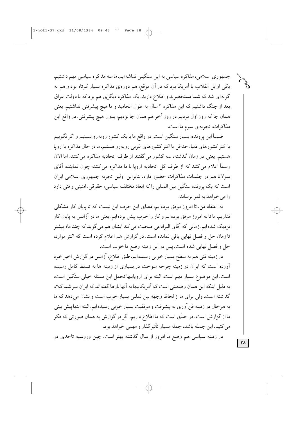جمهوری اسلامی، مذاکره سیاسی به این سنگینی نداشه ایم. ما سه مذاکره سیاسی مهم داشتیم. یکی اوایل انقلاب با اَمریکا بود که در اَن موقع، هم دوره ی مذاکره بسیار کوتاه بود و هم به گونهای شد که شما مستحضرید و اطلاع دارید. یک مذاکره دیگری هم بود که با دولت عراق بعد از جنگ داشتیم که این مذاکره ۲ سال به طول انجامید و ما هیچ پیشرفتی نداشتیم. یعنی همان جا كه روز اول بوديم در روز آخر هم همان جا بوديم، بدون هيچ پيشرفتي. در واقع اين مذاكرات، تجربه ي سوم ما است.

ضمناً این پرونده، بسیار سنگین است. در واقع ما با یک کشور روبه رو نیستیم و اگر نگوییم با اکثر کشورهای دنیا، حداقل با اکثر کشورهای غربی رویه رو هستیم. ما در حال مذاکره با اروپا هستیم. یعنی در زمان گذشته، سه کشور می گفتند از طرف اتحادیه مذاکره می کنند، اما الان رسماً اعلام می کنند که از طرف کل اتحادیه اروپا با ما مذاکره می کنند، چون نماینده آقای سولانا هم در جلسات مذاکرات حضور دارد. بنابراین اولین تجربه جمهوری اسلامی ایران است که یک پرونده سنگین بین المللی راکه ابعاد مختلف سیاسی، حقوقی، امنیتی و فنی دارد را می خواهد به ثمر برساند.

به اعتقاد من، تا امروز موفق بودهایم، معنای این حرف این نیست که تا پایان کار مشکلی نداریم. ما تا به امروز موفق بوده ایم و کار را خوب پیش برده ایم. یعنی ما در آژانس به پایان کار نزدیک شده ایم. زمانی که آقای البرادعی صحبت می کند ایشان هم می گوید که چند ماه بیشتر تا زمان حل و فصل نهایی باقی نمانده است. در گزارش هم اعلام کرده است که اکثر موارد، حل و فصل نهایی شده است. پس در این زمینه وضع ما خوب است.

در زمینه فنی هم به سطح بسیار خوبی رسیدهایم. طبق اطلاع، آژانس در گزارش اخیر خود آورده است که ایران در زمینه چرخه سوخت در بسیاری از زمینه ها به تسلط کامل رسیده است. این موضوع بسیار مهم است. البته برای اروپاییها تحمل این مسئله خیلی سنگین است، به دلیل اینکه این همان وضعیتی است که اَمریکاییها به اَنها بارها گفته اند که ایران سر شما کلاه گذاشته است. ولي براي ما از لحاظ وجهه بين المللي بسيار خوب است و نشان مي دهد كه ما به هرحال در زمینه فن اَوری به پیشرفت و موفقیت بسیار خوبی رسیدهایم. البته اینها پیش بینی ما از گزارش است، در حدّي است كه ما اطلاع داريم. اگر در گزارش به همان صورتي كه فكر مي كنيم، اين جمله باشد، جمله بسيار تأثير گذار و مهمي خواهد بود.

در زمینه سیاسی هم وضع ما امروز از سال گذشته بهتر است. چین وروسیه تاحدی در

٢٨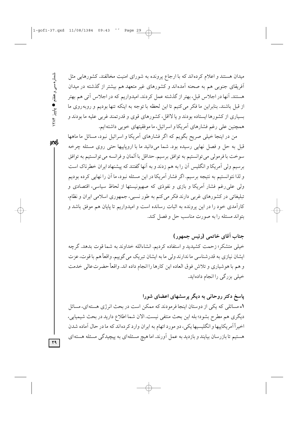1-gof1-37.qxd 11/08/1384 09:43 Page 29

> میدان هستند و اعلام کردهاند که با ارجاع پرونده به شورای امنیت مخالفند. کشورهایی مثل آفریقای جنوبی هم به صحنه آمدهاند و کشورهای غیر متعهد هم بیشتر از گذشته در میدان هستند. آنها در اجلاس قبل، بهتر از گذشته عمل کردند. امیدواریم که در اجلاس آتی هم بهتر از قبل باشند. بنابراین ما فکر می کنیم تا این لحظه با توجه به اینکه تنها بودیم و روبه روی ما بسیاری از کشورها ایستاده بودند و یا لااقل، کشورهای قوی و قدرتمند غربی علیه ما بودند و همچنین علمی رغم فشارهای آمریکا و اسرائیل، ما موفقیتهای خوبی داشته ایم.

观

شماره سی و هفتم ● پاییز ۲۸۴

من در اینجا خیلی صریح بگویم که اگر فشارهای آمریکا و اسرائیل نبود، مسائل ما ماهها قبل به حل و فصل نهایی رسیده بود. شما می دانید ما با اروپاییها حتی روی مسئله چرخه سوخت با فرمولي مي توانستيم به توافق برسيم. حداقل با آلمان و فرانسه مي توانستيم به توافق برسیم ولی آمریکا و انگلیس آن را به هم زدند و به آنها گفتند که پیشنهاد ایران خطرناک است و لذا نتوانستیم به نتیجه برسیم. اگر فشار آمریکا در این مسئله نبود، ما آن را نهایی کرده بودیم ولی علی رغم فشار آمریکا و بازی و نفوذی که صهیونیستها از لحاظ سیاسی، اقتصادی و تبلیغاتی در کشورهای غربی دارند فکر می کنم به طور نسبی، جمهوری اسلامی ایران و نظام، کارآمدی خود را در این برونده به اثبات رسانده است و امیدواریم تا پایان هم موفق باشد و بتواند مسئله را به صورت مناسب حل و فصل كند.

## جناب آقای خاتمی (رئیس جمهور)

خیلی متشکر؛ زحمت کشیدید و استفاده کردیم. انشاءالله خداوند به شما قوت بدهد. گرچه ایشان نیازی به قدرشناسی ما ندارند ولی ما به ایشان تبریک می گوییم. واقعاً هم با قوت، عزت و هم با هوشياري و تلاش فوق العاده اين كارها را انجام داده اند. واقعاً حضرت عالى خدمت خیلی بزرگی را انجام دادهاید.

## پاسخ دکتر روحانی به دیگر پرسشهای اعضای شورا

۱ـ مسائلی که یکی از دوستان اینجا فرمودند که ممکن است در بحث انرژی هسته ای، مسائل ديگري هم مطرح بشود؛ بله اين بحث منتفى نيست. الان شما اطلاع داريد در بحث شيميايي، اخیراً اَمریکاییها و انگلیسیها یکی، دو مورد اتهام به ایران وارد کرده اند که ما در حال اَماده شدن هستیم تا بازرسان بیایند و بازدید به عمل آورند. اما هیچ مسئله ای به پیچیدگی مسئله هسته ای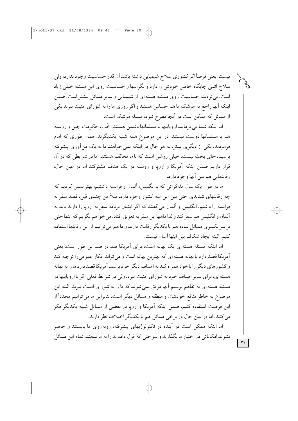نيست. يعني فرضاًاگر كشوري سلاح شيميايي داشته باشد اَن قدر حساسيت وجود ندارد، ولي سلاح اتمی جایگاه خاص خودش را دارد و نگرانیها و حساسیت روی این مسئله خیلی زیاد است. بی تردید، حساسیت روی مسئله هستهای از شیمیایی و سایر مسائل بیشتر است. ضمن اینکه آنها راجع به موشک ما هم حساس هستند و اگر روزی ما را به شورای امنیت ببرند یکی از مسائل که ممکن است در آنجا مطرح شود، مسئله موشک است.

اما اینکه شما می فرمایید اروپاییها با مسلمانها دشمن هستند، خُب، حکومت چین و روسیه هم با مسلمانها دوست نیستند. در این موضوع همه شبیه یکدیگرند. همان طوری که امام فرمودند، یکی از دیگری بدتر. به هر حال در اینکه نمی خواهند ما به یک فن آوری پیشرفته برسیم، جای بحث نیست. خیلی روشن است که با ما مخالف هستند. اما در شرایطی که در آن قرار داریم ضمن اینکه آمریکا و اروپا و روسیه در یک هدف مشترکند اما در عین حال، رقابتهايي هم بين أنها وجود دارد.

ما در طول یک سال مذاکراتی که با انگلیس، آلمان و فرانسه داشتیم، بهتر لمس کردیم که چه رقابتهای شدیدی حتبی بین این سه کشور وجود دارد. مثلاً من چندی قبل، قصد سفر به فرانسه را داشتم، انگلیس و آلمان می گفتند که اگر ایشان برنامه سفر به اروپا را دارند باید به ألمان و انگليس هم سفر كند و لذا ماهها اين سفر به تعويق افتاد. مي خواهم بگويم كه اينها حتى بر سر یکسری مسائل ساده هم با یکدیگر رقابت دارند و ما هم می توانیم از این رقابتها استفاده كنيم. البته ايجاد شكاف بين اينها آسان نيست.

اما اینکه مسئله هستهای یک بهانه است، برای اَمریکا صد در صد این طور است. یعنی اًمريكا قصد دارد با بهانه هستهاي كه بهترين بهانه است و مي تواند افكار عمومي را توجيه كند و کشورهای دیگر را با خود همراه کند به اهداف دیگر خود بر سد. آمریکا قصد دارد ما را به بهانه هسته ای، بر ای سایر اهداف خود به شورای امنیت ببرد. ولی در شرایط فعلی اگر با اروپاییها در مسئله هستهای به تفاهم برسیم آنها موفق نمی شوند که ما را به شورای امنیت ببرند. البته این موضوع به خاطر منافع خودشان و منطقه و مسائل دیگر است. بنابراین ما می توانیم مجدداً از این فرصت استفاده کنیم. ضمن اینکه آمریکا و اروپا در بعضی از مسائل شبیه یکدیگر فکر می کنند. اما در عین حال در برخی مسائل هم با یکدیگر اختلاف نظر دارند.

اما اینکه ممکن است در آینده در تکنولوژیهای پیشرفته، روبه٫وی ما بایستند و حاضر نشوند امکاناتی در اختیار ما بگذارند و سوختی که قول دادهاند را به ما ندهند، تمام این مسائل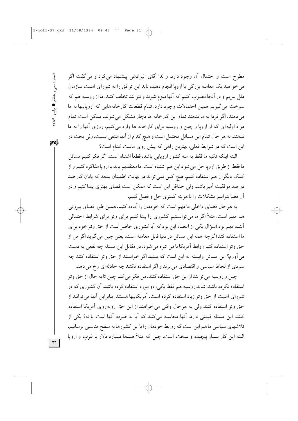1-gof1-37.qxd 11/08/1384 09:43 Page 31

> مطرح است و احتمال اَن وجود دارد. و لذا اَقاى البرادعى پيشنهاد مى كرد و مى گفت اگر می خواهید یک معامله بزرگی با اروپا انجام دهید، باید این توافق را به شورای امنیت سازمان ملل ببريم و در آنجا مصوب كنيم كه آنها ملزم شوند و نتوانند تخلف كنند. ما از روسيه هم كه سوخت مي گيريم همين احتمالات وجود دارد. تمام قطعات كارخانههايي كه اروپاييها به ما می دهند، اگر فردا به ما ندهند تمام این کارخانه ها دچار مشکل می شوند. ممکن است تمام موادّ اولیهای که از اروپا و چین و روسیه برای کارخانه ها وارد می کنیم، روزی آنها را به ما ندهند. به هر حال تمام این مسائل محتمل است و هیچ کدام از اَنها منتفی نیست. ولی بحث در این است که در شرایط فعلی، بهترین راهی که پیش روی ماست کدام است؟

البته اينكه تكيه ما فقط به سه كشور اروپايي باشد، قطعاً اشتباه است. اگر فكر كنيم مسائل ما فقط از طريق ارويا حل مي شود اين هم اشتباه است. ما معتقديم بايد با ارويا مذاكره كنيم و از کمک دیگران هم استفاده کنیم. هیچ کس نمی تواند در نهایت اطمینان بدهد که پایان کار صد در صد موفقیت آمیز باشد. ولی حداقل این است که ممکن است فضای بهتری پیداکنیم و در ان فضا بتوانيم مشكلات را با هزينه كمترى حل و فصل كنيم.

به هرحال فضاي داخلي ما مهم است كه خودمان را آماده كنيم، همين طور فضاي بيروني هم مهم است. مثلاً اگر ما می توانستیم کشوری را پیدا کنیم برای وتو برای شرایط احتمالی اًينده مهم بود (سؤال يكي از اعضاء اين بود كه اَيا كشوري حاضر است از حق وتو خود براي ما استفاده کند)گرچه همه این مسائل در دنیا قابل معامله است. یعنی چین می گوید اگر من از حق وتو استفاده کنم روابط اَمریکا با من تیره می شود، در مقابل این مسئله چه نفعی به دست می آورم؟ این مسائل وابسته به این است که ببینید اگر خواستند از حق وتو استفاده کنند چه سودي از لحاظ سياسي و اقتصادي مي برند و اگر استفاده نكنند چه حادثه اي رخ مي دهد.

چین و روسیه می توانند از این حق استفاده کنند. من فکر می کنم چین تا به حال از حق وتو استفاده نکرده باشد. شاید روسیه هم فقط یکی، دو مورد استفاده کرده باشد. آن کشوری که در شورای امنیت از حق وتو زیاد استفاده کرده است، آمریکاییها هستند. بنابراین آنها می توانند از حق وتو استفاده کنند ولی به هرحال وقتی می خواهند از این حق روبه روی آمریکا استفاده كنند، اين مسئله قيمتي دارد. اَنها محاسبه مي كنند كه اَيا به صرفه اَنها است يا نه؟ يكي از تلاشهای سیاسی ما هم این است که روابط خودمان رابااین کشورها به سطح مناسبی برسانیم. البته این کار بسیار پیچیده و سخت است. چین که مثلاً صدها میلیارد دلار با غرب و اروپا

 $x_{0}$ 

شماره سی و هفتم ● پاییز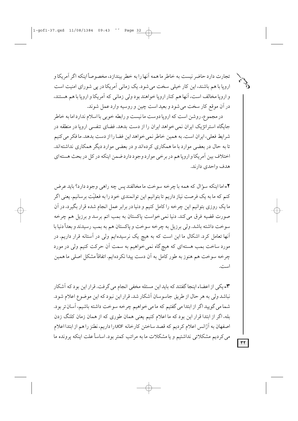تجارت دارد حاضر نيست به خاطر ما همه أنها را به خطر بيندازد، مخصوصاً اينكه اگر أمريكا و اروپا با هم باشند، این کار خیلی سخت می شود. یک زمانی آمریکا در پی شورای امنیت است و ارویا مخالف است، آنها هم کنار اروپا خواهند بود ولی زمانی که آمریکا و اروپا با هم هستند، در آن موقع كار سخت مي شود و بعيد است چين و روسيه وارد عمل شوند.

در مجموع، روشن است که اروپا دوست مانیست و رابطه خوبی با اسلام ندارد اما به خاطر جایگاه استراتژیک ایران نمی خواهد ایران را از دست بدهد. فضای تنفسی اروپا در منطقه در شرايط فعلي، ايران است. به همين خاطر نمي خواهد اين فضا را از دست بدهد. ما فكر مي كنيم تا به حال در بعضی موارد با ما همکاری کردهاند و در بعضی موارد دیگر همکاری نداشتهاند. اختلاف بين أمريكاو ارويا هم در برخي موارد وجود دارد ضمن اينكه در كل در بحث هسته اي هدف واحدى دارند.

٢ـ اما اينكه سؤال كه همه با چرخه سوخت ما مخالفند پس چه راهي وجود دارد؟ بايد عرض کنم که ما به یک فرصت نیاز داریم تا بتوانیم این توانمندی خود را به فعلیّت برسانیم. یعنی اگر ما یک روزی بتوانیم این چرخه را کامل کنیم و دنیا در برابر عمل انجام شده قرار بگیرد، در آن صورت قضيه فرق مي كند. دنيا نمي خواست پاكستان به بمب اتم برسد و برزيل هم چرخه سوخت داشته باشد. ولي برزيل به چرخه سوخت و پاكستان هم به بمب رسيدند و بعداً دنيا با آنها تعامل کرد. اشکال ما این است که به هیچ یک نرسیدهایم ول<sub>ی</sub> در اَستانه قرار داریم. در مورد ساخت بمب هستهای که هیچ گاه نمی خواهیم به سمت اَن حرکت کنیم ولی در مورد چرخه سوخت هم هنوز به طور كامل به أن دست پيدا نكرده ايم. اتفاقاً مشكل اصلى ما همين است.

**۳ـ** یکی از اعضاء اینجا گفتند که باید این مسئله مخفی انجام می گرفت. قرار این بود که آشکار نباشد ولي به هر حال از طريق جاسوسان اَشكار شد. قرار اين نبود كه اين موضوع اعلام شود. شما می گویید اگر از ابتدا می گفتیم که ما می خواهیم چرخه سوخت داشته باشیم، آسان تر بود. بله، اگر از ابتدا قرار این بود که ما اعلام کنیم یعنی همان طوری که از همان زمان کلنگ زدن اصفهان به آژانس اعلام کردیم که قصد ساختن کارخانه UCF را داریم، نطنز را هم از ابتدا اعلام می کردیم مشکلاتی نداشتیم و یا مشکلات ما به مراتب کمتر بود. اساساً علت اینکه پرونده ما

 $\overline{Y}$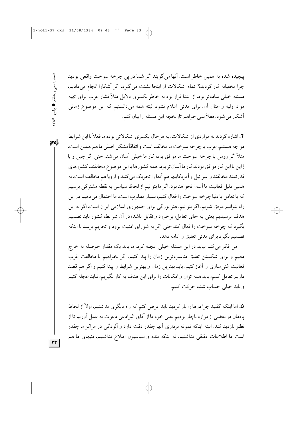پيچيده شده به همين خاطر است. آنها مي گويند اگر شما در يي چرخه سوخت واقعي بوديد چرا مخفیانه کار کردید؟! تمام اشکالات از اینجا نشئت می گیرد. اگر آشکارا انجام می دادیم، مسئله خیلی ساده تر بود. از ابتدا قرار بود به خاطر یکسری دلایل مثلاً فشار غرب برای تهیه مواد اولیه و امثال آن، برای مدتی اعلام نشود البته همه می دانستیم که این موضوع زمانی اًشکار می شود. فعلاً نمی خواهم تاریخچه این مسئله را بیان کنم.

۴ـ اشاره كردندبه مواردي از اشكالات، به هر حال يكسري اشكالاتي بوده ما فعلاً با اين شرايط 观 مواجه هستيم. غرب با چرخه سوخت ما مخالف است و اتفاقاً مشكل اصلي ما هم همين است. مثلاً اگر روس با چرخه سوخت ما موافق بود، کار ما خیلی آسان می شد. حتی اگر چین و یا ژاپن با این کار موافق بودند کار ما آسان تر بود. همه کشورها با این موضوع مخالفند. کشورهای قدرتمند مخالفند و اسرائيل و آمريكاييها هم آنها را تحريک مي كنند و اروپا هم مخالف است. به همین دلیل فعالیت ما اَسان نخواهد بود. اگر ما بتوانیم از لحاظ سیاسی به نقطه مشترکی برسیم كه با تعامل با دنيا چرخه سوخت را فعال كنيم، بسيار مطلوب است. ما احتمال مي دهيم در اين راه بتوانیم موفق شویم. اگر بتوانیم، هنر بزرگی برای جمهوری اسلامی ایران است. اگر به این هدف نرسیدیم یعنی به جای تعامل، برخورد و تقابل باشد؛ در آن شرایط، کشور باید تصمیم بگیرد که چرخه سوخت را فعال کند حتی اگر به شورای امنیت برود و تحریم برسد یا اینکه تصمیم بگیرد برای مدتی تعلیق را ادامه دهد.

من فکر می کنم نباید در این مسئله خیلی عجله کرد. ما باید یک مقدار حوصله به خرج دهیم و برای شکستن تعلیق مناسبترین زمان را پیدا کنیم. اگر بخواهیم با مخالفت غرب فعاليت غني سازي را أغاز كنيم. بايد بهترين زمان و بهترين شرايط را پيدا كنيم و اگر هم قصد داریم تعامل کنیم، باید همه توان و امکانات را برای این هدف به کار بگیریم، نباید عجله کنیم وبايد خيلي حساب شده حركت كنيم.

۵ـ اما اینکه گفتید چرا درها را باز کردید باید عرض کنم که راه دیگری نداشتیم. اولاً از لحاظ پادمان در بعضی از موارد ناچار بودیم یعنی خود ما از آقای البرادعی دعوت به عمل آوریم تا از نطنز بازدید کند. البته اینکه نمونه برداری آنها چقدر دقت دارد و آلودگی در مراکز ما چقدر است ما اطلاعات دقیقی نداشتیم. نه اینکه بنده و سیاسیون اطلاع نداشتیم، فنیهای ما هم

ثماره سی و هفتم ● یاییز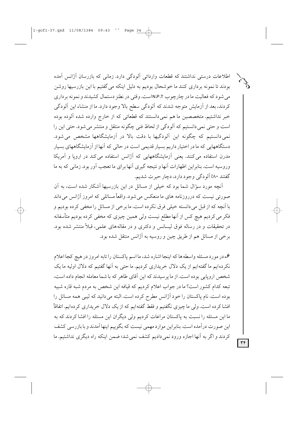$1-gof1-37. qxd$   $11/08/1384$  09:43 "" Page 34

> اطلاعات درستی نداشتند که قطعات وارداتی آلودگی دارد. زمانی که بازرسان آژانس آمده بودند تا نمونه برداری کنند ما خوشحال بودیم به دلیل اینکه می گفتیم با این بازرسیها روشن می شود که فعالیت ما در چارچوب N.P.Tاست. وقتی در نطنز دستمال کشیدند و نمونه بر داری کردند، بعد از آزمایش متوجه شدند که آلودگی سطح بالا وجود دارد. ما از منشاء این آلودگی خبر نداشتیم. متخصصین ما هم نمی دانستند که قطعاتی که از خارج وارده شده آلوده بوده است و حتی نمی دانستیم که آلودگی از لحاظ فنی چگونه منتقل و منتشر می شود. حتی این را نمی دانستیم که چگونه این آلودگیها با دقت بالا در آزمایشگاهها مشخص می شود. دستگاههایی که ما در اختیار داریم بسیار قدیمی است در حالی که آنها از آزمایشگاههای بسیار مدرن استفاده می کنند. یعنی آزمایشگاههایی که آژانس استفاده می کند در اروپا و آمریکا وروسیه است. بنابراین اظهارات آنها و نتیجه گیری آنها برای ما تعجب آور بود. زمانی که به ما گفتند ۸۰٪ آلودگي وجود دارد، دچار حيرت شديم.

آنچه مورد سؤال شما بود که خیلی از مسائل در این بازرسیها آشکار شده است، به آن صورتی نیست که درروزنامه های ما منعکس می شود. واقعاً مسائلی که امروز آژانس می داند با آنچه که از قبل می دانسته خیلی فرق نکرده است. ما برخی از مسائل را مخفی کرده بودیم و فکر می کردیم هیچ کس از آنها مطلع نیست ولی همین چیزی که مخفی کرده بودیم متأسفانه در تحقیقات و در رساله فوق لیسانس و دکتری و در مقالههای علمی، قبلاً منتشر شده بود. برخی از مسائل هم از طریق چین و روسیه به آژانس منتقل شده بود.

۶ـ در مورد مسئله واسطه ها كه اينجا اشاره شد، ما اسم پاكستان را تابه امروز در هيچ كجا اعلام نکرده ایم ما گفته ایم از یک دلال خریداری کردیم. ما حتی به آنها گفتیم که دلال اولیه ما یک شخص اروپایی بوده است. از ما پرسیدند که این آقای طاهر که با شما معامله انجام داده است، تبعه كدام كشور است؟ ما در جواب اعلام كرديم كه قيافه اين شخص به مردم شبه قاره شبيه بوده است. نام پاکستان را خود آژانس مطرح کرده است. البته می دانید که لیبی همه مسائل را افشا کرده است. ولی ما چیزی نگفتیم و فقط گفته ایم که از یک دلال خریداری کرده ایم. اتفاقاً ما این مسئله را نسبت به پاکستان مراعات کردیم ولی دیگران این مسئله را افشا کردند که به این صورت درآمده است. بنابراین موارد مهمی نیست که بگوییم اینها آمدند و با بازرسی کشف كردند و اگر به آنها اجازه ورود نمي داديم كشف نمي شد؛ ضمن اينكه راه ديگري نداشتيم. ما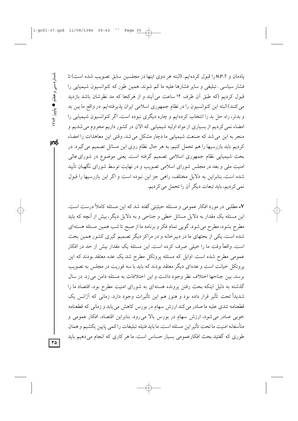1-gof1-37.qxd 11/08/1384 09:43 Page 35

> یادمان و N.P.Tرا قبول کرده ایم. (البته هر دوی اینها در مجلسین سابق تصویب شده است) تا فشار سیاسی .تبلیغی و سایر فشارها علیه ما کم شوند. همین طور که کنوانسیون شیمیایی را قبول کردیم (که طبق اَن ظرف ١٢ ساعت می اَیند و از هرکجا که مد نظرشان باشد بازدید می کنند)البته این کنوانسیون را در نظام جمهوری اسلامی ایران یذیرفته ایم. در واقع ما بین بد و بدتر، راه حل بد را انتخاب کردهایم و چاره دیگری نبوده است. اگر کنوانسیون شیمیایی را امضاء نمی کردیم از بسیاری از مواد اولیه شیمیایی که الان در کشور داریم محروم می شدیم و منجر به این می شد که صنعت شیمیایی ما دچار مشکل می شد. وقتی این معاهدات را امضاء کردیم باید بازرسیها را هم تحمل کنیم. به هر حال نظام روی این مسائل تصمیم می گیرد. در بحث شیمیایی نظام جمهوری اسلامی تصمیم گرفته است. یعنی موضوع در شورای عالی امنیت ملی و بعد در مجلس شورای اسلامی تصویب و در نهایت توسط شورای نگهبان تأیید شده است. بنابراین به دلایل مختلف، راهی جز این نبوده است و اگر این بازرسیها را قبول نمي كرديم، بايد تبعات ديگر آن را تحمل مي كرديم.

۷ـ مطلبی در مورد افکار عمومی و مسئله حیثیتی گفته شد که این مسئله کاملاً درست است. این مسئله یک مقدار به دلایل مسائل خطی و جناحی و به دلایل دیگر، بیش از آنچه که باید مطرح بشود، مطرح می شود. گویی تمام فکر و برنامه ما از صبح تا شب همین مسئله هستهای شده است. یکی از بحثهای ما در دبیر خانه و در مراکز دیگر تصمیم گیری کشور همین بحث است. واقعاً وقت ما را خیلی صرف کرده است. این مسئله یک مقدار بیش از حد در افکار عمومی مطرح شده است. اوایل که مسئله پروتکل مطرح شد یک عده معتقد بودند که این یروتکل خیانت است و عدهای دیگر معتقد بودند که باید با سه فوریت در مجلس به تصویب برسد. بين جناحها اختلاف نظر وجود داشت و اين اختلافات به مسئله دامن مي زد. در سال گذشته به دلیل اینکه بحث رفتن پرونده هستهای به شورای امنیت مطرح بود، اقتصاد ما را شدیداً تحت تأثیر قرار داده بود و هنوز هم این تأثیرات وجود دارد. زمانی که آژانس یک قطعنامه تندی علیه ما صادر می کند ارزش سهام در بورس کاهش می یابد و زمانی که قطعنامه خوبی صادر می شود، ارزش سهام در بورس بالا می رود. بنابراین اقتصاد، افکار عمومی و متأسفانه امنيت ما تحت تأثير اين مسئله است. ما بايد فتيله تبليغات را كمي يايين بكشيم و همان طوری که گفتید بحث افکارعمومی بسیار حساس است. ما هر کاری که انجام می دهیم باید

观

شماره سی و هفتم ● پاییز

۳۵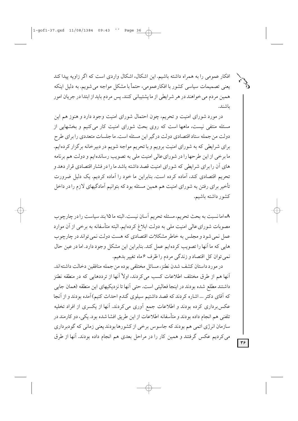افکار عمومی را به همراه داشته باشیم. این اشکال، اشکال واردی است که اگر زاویه پیدا کند يعني تصميمات سياسي كشور با افكارعمومي، حتماً با مشكل مواجه مي شويم. به دليل اينكه همین مردم می خواهند در هر شرایطی از ما پشتیبانی کنند. پس مردم باید از ابتدا در جریان امور باشند.

در مورد شورای امنیت و تحریم، چون احتمال شورای امنیت وجود دارد و هنوز هم این مسئله منتفی نیست، ماهها است که روی بحث شورای امنیت کار می کنیم و بخشهایی از دولت من جمله ستاد اقتصادي دولت درگير اين مسئله است. ما جلسات متعددي را براي طرح برای شرایطی که به شورای امنیت برویم و با تحریم مواجه شویم در دبیر خانه بر گزار کردهایم. ما برخی از این طرحها را در شو رای عالی امنیت ملی به تصویب رساندهایم و دولت هم برنامه های اَن را برای شرایطی که شورای امنیت قصد داشته باشد ما را در فشار اقتصادی قرار دهد و تحریم اقتصادی کند، آماده کرده است. بنابراین ما خود را آماده کردیم. یک دلیل ضرورت تأخیر برای رفتن به شورای امنیت هم همین مسئله بود که بتوانیم آمادگیهای لازم را در داخل كشور داشته باشيم.

٨-اما نسبت به بحث تحريم، مسئله تحريم آسان نيست. البته ما ١٥ بند سياست را در چارچوب مصوبات شورای عالی امنیت ملی به دولت ابلاغ کردهایم. البته متأسفانه به برخی از آن موارد عمل نمی شود و مجلس به خاطر مشکلات اقتصادی که هست دولت نمی تواند در چارچوب هایی که ما آنها را تصویب کردهایم عمل کند. بنابراین این مشکل وجود دارد. اما در عین حال نمي توان كل اقتصاد و زندگي مردم را ظرف ۶ماه تغيير بدهيم.

در مورد داستان كشف شدن نطنز، مسائل مختلفي بوده من جمله منافقين دخالت داشته اند. آنها هم از طرق مختلف اطلاعات کسب میکردند، اولاً آنها از ترددهایی که در منطقه نطنز داشتند مطلع شده بودند در اينجا فعاليتي است. حتى أنها تا نزديكيهاي اين منطقه (همان جايي که آقای دکتر ... اشاره کردند که قصد داشتیم سیلوی گندم احداث کنیم)آمده بودند و از آنجا عکس برداری کرده بودند و اطلاعات جمع آوری می کردند. آنها از یکسری از افراد تخلیه تلفنی هم انجام داده بودند و متأسفانه اطلاعات از این طریق افشا شده بود. یکی، دو کارمند در سازمان انرژی اتمی هم بودند که جاسوس برخی از کشورها بودند یعنی زمانی که گودبرداری می کردیم عکس گرفتند و همین کار را در مراحل بعدی هم انجام داده بودند. آنها از طرق

 $\overline{\mathbf{y}}$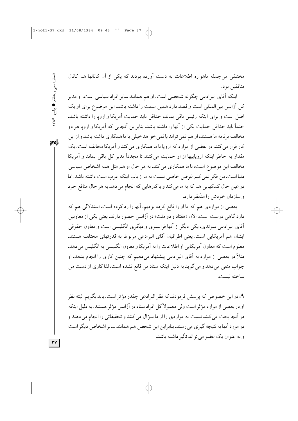مختلفی من جمله ماهواره اطلاعات به دست اَورده بودند که یکی از اَن کانالها هم کانال منافقين بو د.

اينكه آقاي البرادعي چگونه شخصي است، او هم همانند ساير افراد سياسي است. او مدير کل آژانس بین المللی است و قصد دارد همین سمت را داشته باشد. این موضوع برای او یک اصل است و برای اینکه رئیس باقی بماند، حداقل باید حمایت آمریکا و اروپا را داشته باشد. حتماً بايد حداقل حمايت يكي از آنها را داشته باشد. بنابراين آنجايي كه آمريكا و ارويا هر دو مخالف برنامه ما هستند، او هم نمي تواند يا نمي خواهد خيلي با ما همكاري داشته باشد و از اين کار فرار می کند. در بعضی از موارد که اروپا با ما همکاری می کند و آمریکا مخالف است، یک مقدار به خاطر اینکه اروپاییها از او حمایت می کنند تا مجدداً مدیر کل باقی بماند و آمریکا مخالف این موضوع است، با ما همکاری می کند. به هر حال او هم مثل همه اشخاص سیاسی دنیا است. من فکر نمی کنم غرض خاصی نسبت به ما از باب اینکه عرب است داشته باشد. اما در عين حال كمكهايي هم كه به ما مي كند و يا كارهايي كه انجام مي دهد به هر حال منافع خود و سازمان خودش را مدّنظر دارد.

بعضی از مواردی هم که ما او را قانع کرده بودیم، آنها را رد کرده است. استدلالی هم که دارد گاهي درست است. الان «هفتاد و دو ملت» در آژانس حضور دارند. يعني يكي از معاونين آقای البرادعی سوئدی، یکی دیگر از آنها فرانسوی و دیگری انگلیسی است و معاون حقوقی ايشان هم أمريكايي است. يعني اطرافيان أقاى البرادعي مربوط به قدرتهاى مختلف هستند. معلوم است که معاون اَمريکايي او اطلاعات را به اَمريکا و معاون انگليسي به انگليس مي دهد. مثلاً در بعضی از موارد به آقای البرادعی پیشنهاد می دهیم که چنین کاری را انجام بدهد، او جواب منفی می دهد و می گوید به دلیل اینکه ستاد من قانع نشده است، لذا کاری از دست من ساخته نست.

۹ـ در اين خصوص كه پرسش فرمودند كه نظر البرادعي چقدر مؤثر است، بايد بگويم البته نظر او در بعضی از موارد مؤثر است ولی معمولاً کل افراد ستاد در آژانس مؤثر هستند. به دلیل اینکه در اَنجا بحث مي كنند نسبت به مواردي را از ما سؤال مي كنند و تحقيقاتي را انجام مي دهند و در مورد انها به نتیجه گیری می رسند. بنابراین این شخص هم همانند سایر اشخاص دیگر است و به عنوان یک عضو می تواند تأثیر داشته باشد.

观

شماره سي و هفتم ، پاييز